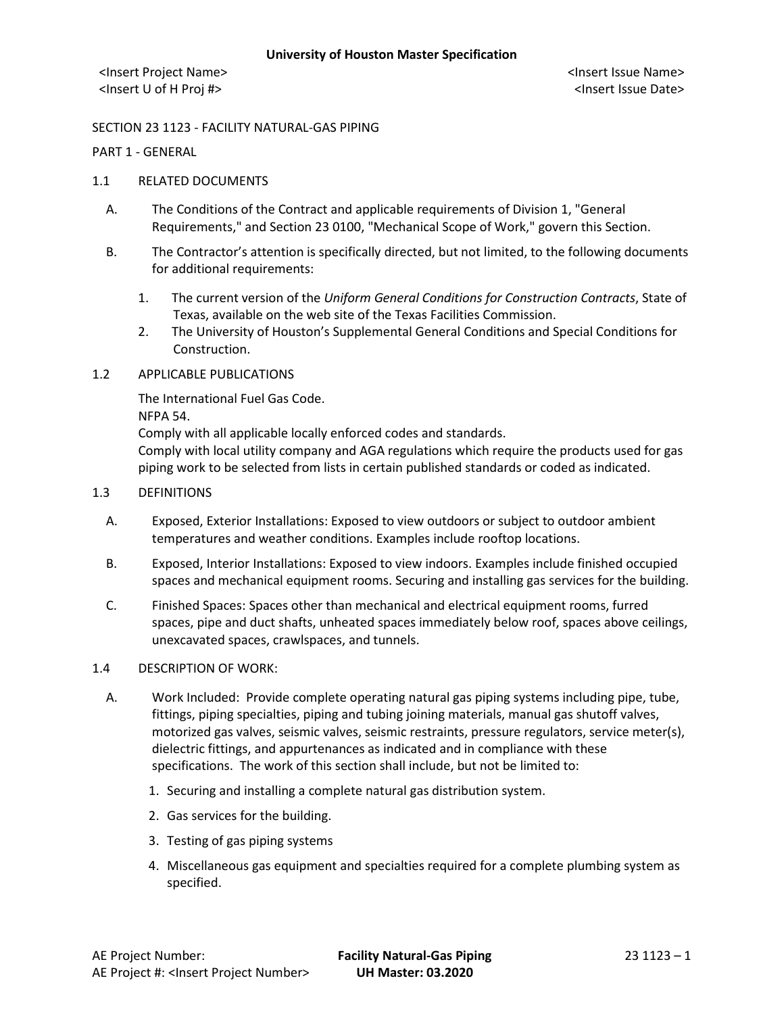## SECTION 23 1123 - FACILITY NATURAL-GAS PIPING

PART 1 - GENERAL

## 1.1 RELATED DOCUMENTS

- A. The Conditions of the Contract and applicable requirements of Division 1, "General Requirements," and Section 23 0100, "Mechanical Scope of Work," govern this Section.
- B. The Contractor's attention is specifically directed, but not limited, to the following documents for additional requirements:
	- 1. The current version of the *Uniform General Conditions for Construction Contracts*, State of Texas, available on the web site of the Texas Facilities Commission.
	- 2. The University of Houston's Supplemental General Conditions and Special Conditions for Construction.
- 1.2 APPLICABLE PUBLICATIONS

The International Fuel Gas Code.

NFPA 54.

Comply with all applicable locally enforced codes and standards.

Comply with local utility company and AGA regulations which require the products used for gas piping work to be selected from lists in certain published standards or coded as indicated.

# 1.3 DEFINITIONS

- A. Exposed, Exterior Installations: Exposed to view outdoors or subject to outdoor ambient temperatures and weather conditions. Examples include rooftop locations.
- B. Exposed, Interior Installations: Exposed to view indoors. Examples include finished occupied spaces and mechanical equipment rooms. Securing and installing gas services for the building.
- C. Finished Spaces: Spaces other than mechanical and electrical equipment rooms, furred spaces, pipe and duct shafts, unheated spaces immediately below roof, spaces above ceilings, unexcavated spaces, crawlspaces, and tunnels.

### 1.4 DESCRIPTION OF WORK:

- A. Work Included: Provide complete operating natural gas piping systems including pipe, tube, fittings, piping specialties, piping and tubing joining materials, manual gas shutoff valves, motorized gas valves, seismic valves, seismic restraints, pressure regulators, service meter(s), dielectric fittings, and appurtenances as indicated and in compliance with these specifications. The work of this section shall include, but not be limited to:
	- 1. Securing and installing a complete natural gas distribution system.
	- 2. Gas services for the building.
	- 3. Testing of gas piping systems
	- 4. Miscellaneous gas equipment and specialties required for a complete plumbing system as specified.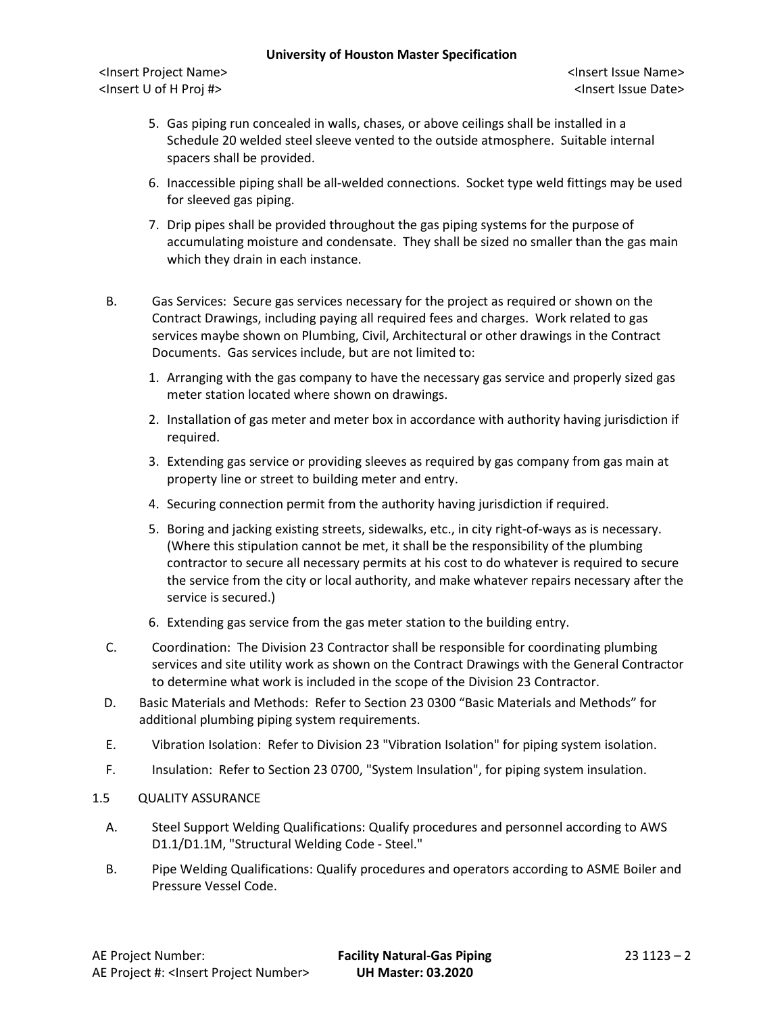<Insert Project Name> <Insert Issue Name> <Insert U of H Proj #> <Insert Issue Date>

- 5. Gas piping run concealed in walls, chases, or above ceilings shall be installed in a Schedule 20 welded steel sleeve vented to the outside atmosphere. Suitable internal spacers shall be provided.
- 6. Inaccessible piping shall be all-welded connections. Socket type weld fittings may be used for sleeved gas piping.
- 7. Drip pipes shall be provided throughout the gas piping systems for the purpose of accumulating moisture and condensate. They shall be sized no smaller than the gas main which they drain in each instance.
- B. Gas Services: Secure gas services necessary for the project as required or shown on the Contract Drawings, including paying all required fees and charges. Work related to gas services maybe shown on Plumbing, Civil, Architectural or other drawings in the Contract Documents. Gas services include, but are not limited to:
	- 1. Arranging with the gas company to have the necessary gas service and properly sized gas meter station located where shown on drawings.
	- 2. Installation of gas meter and meter box in accordance with authority having jurisdiction if required.
	- 3. Extending gas service or providing sleeves as required by gas company from gas main at property line or street to building meter and entry.
	- 4. Securing connection permit from the authority having jurisdiction if required.
	- 5. Boring and jacking existing streets, sidewalks, etc., in city right-of-ways as is necessary. (Where this stipulation cannot be met, it shall be the responsibility of the plumbing contractor to secure all necessary permits at his cost to do whatever is required to secure the service from the city or local authority, and make whatever repairs necessary after the service is secured.)
	- 6. Extending gas service from the gas meter station to the building entry.
- C. Coordination: The Division 23 Contractor shall be responsible for coordinating plumbing services and site utility work as shown on the Contract Drawings with the General Contractor to determine what work is included in the scope of the Division 23 Contractor.
- D. Basic Materials and Methods: Refer to Section 23 0300 "Basic Materials and Methods" for additional plumbing piping system requirements.
- E. Vibration Isolation: Refer to Division 23 "Vibration Isolation" for piping system isolation.
- F. Insulation: Refer to Section 23 0700, "System Insulation", for piping system insulation.

# 1.5 QUALITY ASSURANCE

- A. Steel Support Welding Qualifications: Qualify procedures and personnel according to AWS D1.1/D1.1M, "Structural Welding Code - Steel."
- B. Pipe Welding Qualifications: Qualify procedures and operators according to ASME Boiler and Pressure Vessel Code.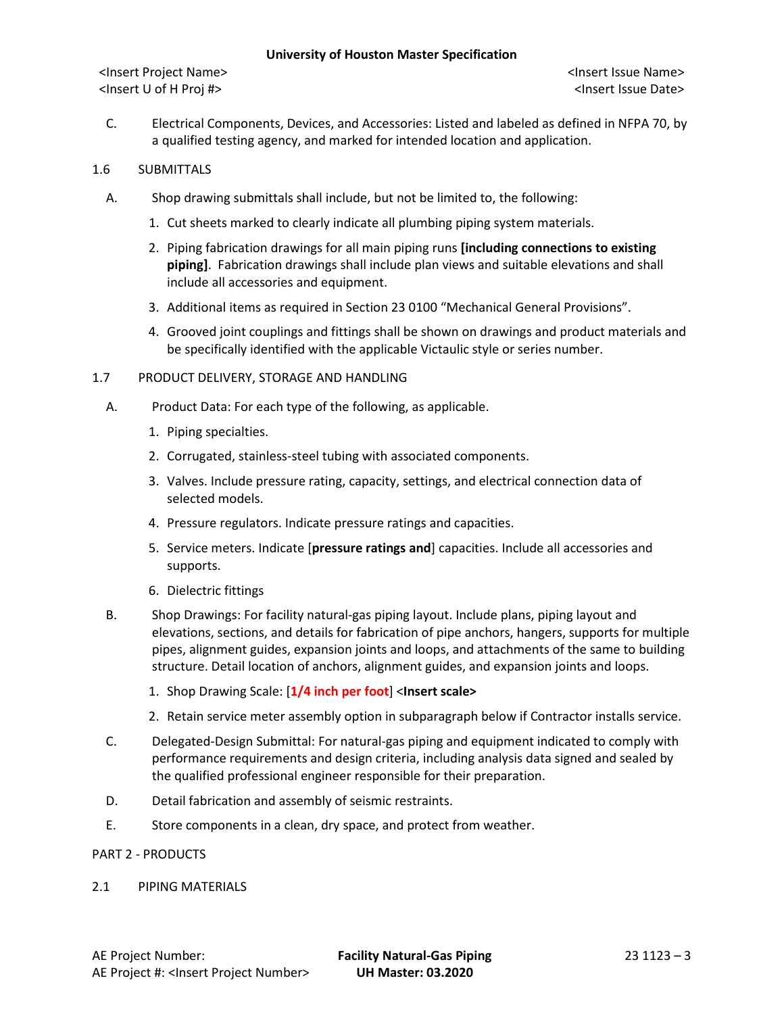<Insert Project Name> <Insert Issue Name> <Insert U of H Proj #> <Insert Issue Date>

C. Electrical Components, Devices, and Accessories: Listed and labeled as defined in NFPA 70, by a qualified testing agency, and marked for intended location and application.

## 1.6 SUBMITTALS

- A. Shop drawing submittals shall include, but not be limited to, the following:
	- 1. Cut sheets marked to clearly indicate all plumbing piping system materials.
	- 2. Piping fabrication drawings for all main piping runs **[including connections to existing piping]**. Fabrication drawings shall include plan views and suitable elevations and shall include all accessories and equipment.
	- 3. Additional items as required in Section 23 0100 "Mechanical General Provisions".
	- 4. Grooved joint couplings and fittings shall be shown on drawings and product materials and be specifically identified with the applicable Victaulic style or series number.

### 1.7 PRODUCT DELIVERY, STORAGE AND HANDLING

- A. Product Data: For each type of the following, as applicable.
	- 1. Piping specialties.
	- 2. Corrugated, stainless-steel tubing with associated components.
	- 3. Valves. Include pressure rating, capacity, settings, and electrical connection data of selected models.
	- 4. Pressure regulators. Indicate pressure ratings and capacities.
	- 5. Service meters. Indicate [**pressure ratings and**] capacities. Include all accessories and supports.
	- 6. Dielectric fittings
- B. Shop Drawings: For facility natural-gas piping layout. Include plans, piping layout and elevations, sections, and details for fabrication of pipe anchors, hangers, supports for multiple pipes, alignment guides, expansion joints and loops, and attachments of the same to building structure. Detail location of anchors, alignment guides, and expansion joints and loops.
	- 1. Shop Drawing Scale: [**1/4 inch per foot**] <**Insert scale>**
	- 2. Retain service meter assembly option in subparagraph below if Contractor installs service.
- C. Delegated-Design Submittal: For natural-gas piping and equipment indicated to comply with performance requirements and design criteria, including analysis data signed and sealed by the qualified professional engineer responsible for their preparation.
- D. Detail fabrication and assembly of seismic restraints.
- E. Store components in a clean, dry space, and protect from weather.

### PART 2 - PRODUCTS

### 2.1 PIPING MATERIALS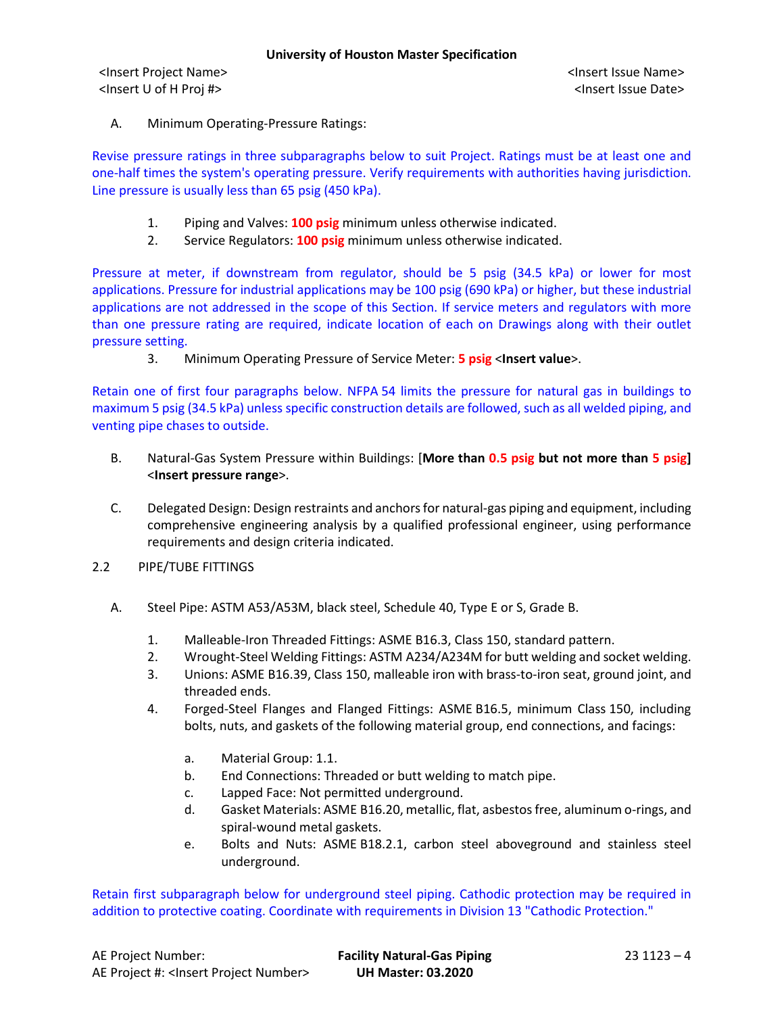A. Minimum Operating-Pressure Ratings:

Revise pressure ratings in three subparagraphs below to suit Project. Ratings must be at least one and one-half times the system's operating pressure. Verify requirements with authorities having jurisdiction. Line pressure is usually less than 65 psig (450 kPa).

- 1. Piping and Valves: **100 psig** minimum unless otherwise indicated.
- 2. Service Regulators: **100 psig** minimum unless otherwise indicated.

Pressure at meter, if downstream from regulator, should be 5 psig (34.5 kPa) or lower for most applications. Pressure for industrial applications may be 100 psig (690 kPa) or higher, but these industrial applications are not addressed in the scope of this Section. If service meters and regulators with more than one pressure rating are required, indicate location of each on Drawings along with their outlet pressure setting.

3. Minimum Operating Pressure of Service Meter: **5 psig** <**Insert value**>.

Retain one of first four paragraphs below. NFPA 54 limits the pressure for natural gas in buildings to maximum 5 psig (34.5 kPa) unless specific construction details are followed, such as all welded piping, and venting pipe chases to outside.

- B. Natural-Gas System Pressure within Buildings: [**More than 0.5 psig but not more than 5 psig]** <**Insert pressure range**>.
- C. Delegated Design: Design restraints and anchors for natural-gas piping and equipment, including comprehensive engineering analysis by a qualified professional engineer, using performance requirements and design criteria indicated.
- 2.2 PIPE/TUBE FITTINGS
	- A. Steel Pipe: ASTM A53/A53M, black steel, Schedule 40, Type E or S, Grade B.
		- 1. Malleable-Iron Threaded Fittings: ASME B16.3, Class 150, standard pattern.
		- 2. Wrought-Steel Welding Fittings: ASTM A234/A234M for butt welding and socket welding.
		- 3. Unions: ASME B16.39, Class 150, malleable iron with brass-to-iron seat, ground joint, and threaded ends.
		- 4. Forged-Steel Flanges and Flanged Fittings: ASME B16.5, minimum Class 150, including bolts, nuts, and gaskets of the following material group, end connections, and facings:
			- a. Material Group: 1.1.
			- b. End Connections: Threaded or butt welding to match pipe.
			- c. Lapped Face: Not permitted underground.
			- d. Gasket Materials: ASME B16.20, metallic, flat, asbestos free, aluminum o-rings, and spiral-wound metal gaskets.
			- e. Bolts and Nuts: ASME B18.2.1, carbon steel aboveground and stainless steel underground.

Retain first subparagraph below for underground steel piping. Cathodic protection may be required in addition to protective coating. Coordinate with requirements in Division 13 "Cathodic Protection."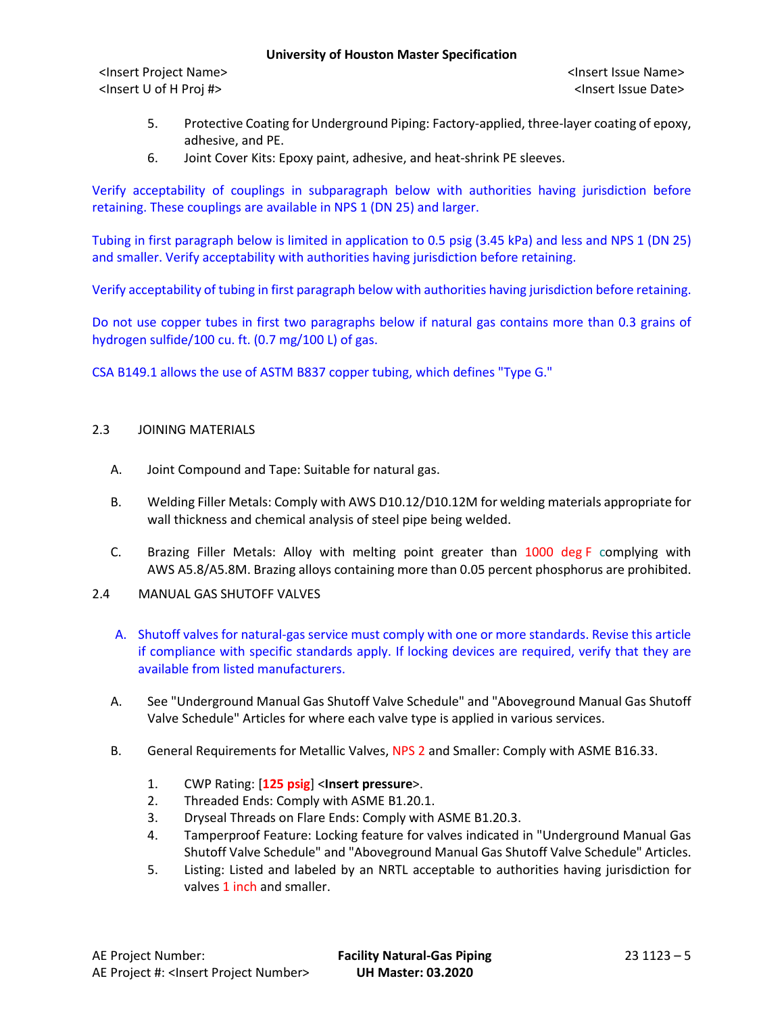<Insert Project Name> <Insert Issue Name> <Insert U of H Proj #> <Insert Issue Date>

- 5. Protective Coating for Underground Piping: Factory-applied, three-layer coating of epoxy, adhesive, and PE.
- 6. Joint Cover Kits: Epoxy paint, adhesive, and heat-shrink PE sleeves.

Verify acceptability of couplings in subparagraph below with authorities having jurisdiction before retaining. These couplings are available in NPS 1 (DN 25) and larger.

Tubing in first paragraph below is limited in application to 0.5 psig (3.45 kPa) and less and NPS 1 (DN 25) and smaller. Verify acceptability with authorities having jurisdiction before retaining.

Verify acceptability of tubing in first paragraph below with authorities having jurisdiction before retaining.

Do not use copper tubes in first two paragraphs below if natural gas contains more than 0.3 grains of hydrogen sulfide/100 cu. ft. (0.7 mg/100 L) of gas.

CSA B149.1 allows the use of ASTM B837 copper tubing, which defines "Type G."

## 2.3 JOINING MATERIALS

- A. Joint Compound and Tape: Suitable for natural gas.
- B. Welding Filler Metals: Comply with AWS D10.12/D10.12M for welding materials appropriate for wall thickness and chemical analysis of steel pipe being welded.
- C. Brazing Filler Metals: Alloy with melting point greater than 1000 deg F complying with AWS A5.8/A5.8M. Brazing alloys containing more than 0.05 percent phosphorus are prohibited.
- 2.4 MANUAL GAS SHUTOFF VALVES
	- A. Shutoff valves for natural-gas service must comply with one or more standards. Revise this article if compliance with specific standards apply. If locking devices are required, verify that they are available from listed manufacturers.
	- A. See "Underground Manual Gas Shutoff Valve Schedule" and "Aboveground Manual Gas Shutoff Valve Schedule" Articles for where each valve type is applied in various services.
	- B. General Requirements for Metallic Valves, NPS 2 and Smaller: Comply with ASME B16.33.
		- 1. CWP Rating: [**125 psig**] <**Insert pressure**>.
		- 2. Threaded Ends: Comply with ASME B1.20.1.
		- 3. Dryseal Threads on Flare Ends: Comply with ASME B1.20.3.
		- 4. Tamperproof Feature: Locking feature for valves indicated in "Underground Manual Gas Shutoff Valve Schedule" and "Aboveground Manual Gas Shutoff Valve Schedule" Articles.
		- 5. Listing: Listed and labeled by an NRTL acceptable to authorities having jurisdiction for valves 1 inch and smaller.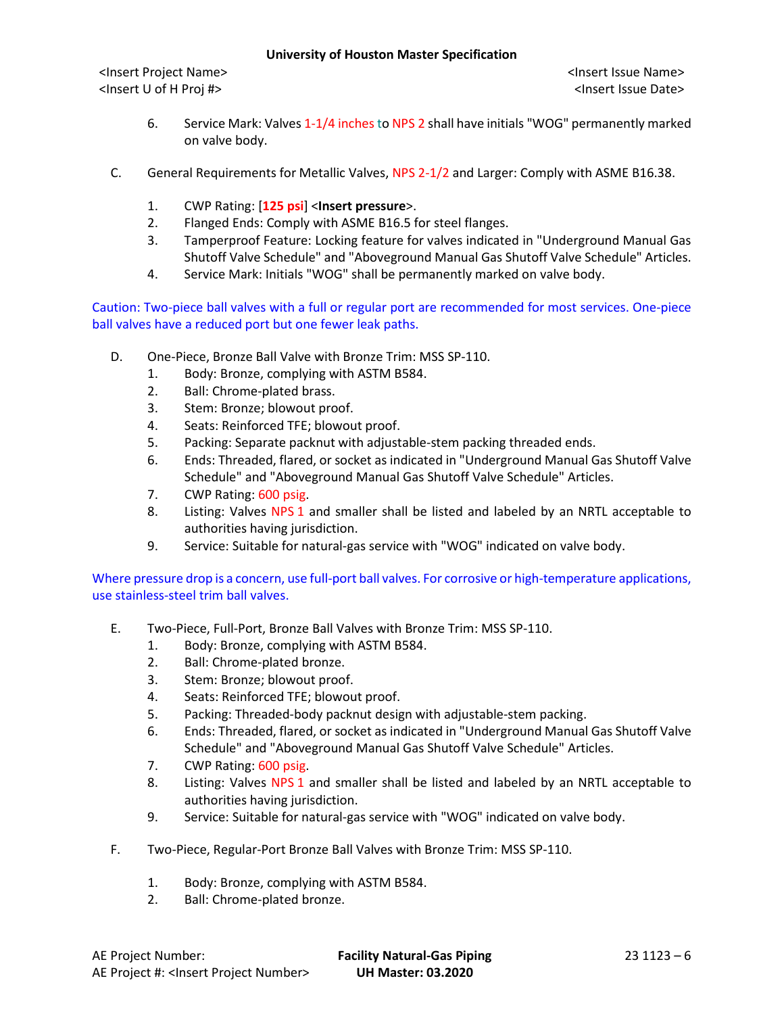<Insert Project Name> <Insert Issue Name> <Insert U of H Proj #> <Insert Issue Date>

- 6. Service Mark: Valves 1-1/4 inches to NPS 2 shall have initials "WOG" permanently marked on valve body.
- C. General Requirements for Metallic Valves, NPS 2-1/2 and Larger: Comply with ASME B16.38.
	- 1. CWP Rating: [**125 psi**] <**Insert pressure**>.
	- 2. Flanged Ends: Comply with ASME B16.5 for steel flanges.
	- 3. Tamperproof Feature: Locking feature for valves indicated in "Underground Manual Gas Shutoff Valve Schedule" and "Aboveground Manual Gas Shutoff Valve Schedule" Articles.
	- 4. Service Mark: Initials "WOG" shall be permanently marked on valve body.

Caution: Two-piece ball valves with a full or regular port are recommended for most services. One-piece ball valves have a reduced port but one fewer leak paths.

- D. One-Piece, Bronze Ball Valve with Bronze Trim: MSS SP-110.
	- 1. Body: Bronze, complying with ASTM B584.
	- 2. Ball: Chrome-plated brass.
	- 3. Stem: Bronze; blowout proof.
	- 4. Seats: Reinforced TFE; blowout proof.
	- 5. Packing: Separate packnut with adjustable-stem packing threaded ends.
	- 6. Ends: Threaded, flared, or socket as indicated in "Underground Manual Gas Shutoff Valve Schedule" and "Aboveground Manual Gas Shutoff Valve Schedule" Articles.
	- 7. CWP Rating: 600 psig.
	- 8. Listing: Valves NPS 1 and smaller shall be listed and labeled by an NRTL acceptable to authorities having jurisdiction.
	- 9. Service: Suitable for natural-gas service with "WOG" indicated on valve body.

Where pressure drop is a concern, use full-port ball valves. For corrosive or high-temperature applications, use stainless-steel trim ball valves.

- E. Two-Piece, Full-Port, Bronze Ball Valves with Bronze Trim: MSS SP-110.
	- 1. Body: Bronze, complying with ASTM B584.
	- 2. Ball: Chrome-plated bronze.
	- 3. Stem: Bronze; blowout proof.
	- 4. Seats: Reinforced TFE; blowout proof.
	- 5. Packing: Threaded-body packnut design with adjustable-stem packing.
	- 6. Ends: Threaded, flared, or socket as indicated in "Underground Manual Gas Shutoff Valve Schedule" and "Aboveground Manual Gas Shutoff Valve Schedule" Articles.
	- 7. CWP Rating: 600 psig.
	- 8. Listing: Valves NPS 1 and smaller shall be listed and labeled by an NRTL acceptable to authorities having jurisdiction.
	- 9. Service: Suitable for natural-gas service with "WOG" indicated on valve body.
- F. Two-Piece, Regular-Port Bronze Ball Valves with Bronze Trim: MSS SP-110.
	- 1. Body: Bronze, complying with ASTM B584.
	- 2. Ball: Chrome-plated bronze.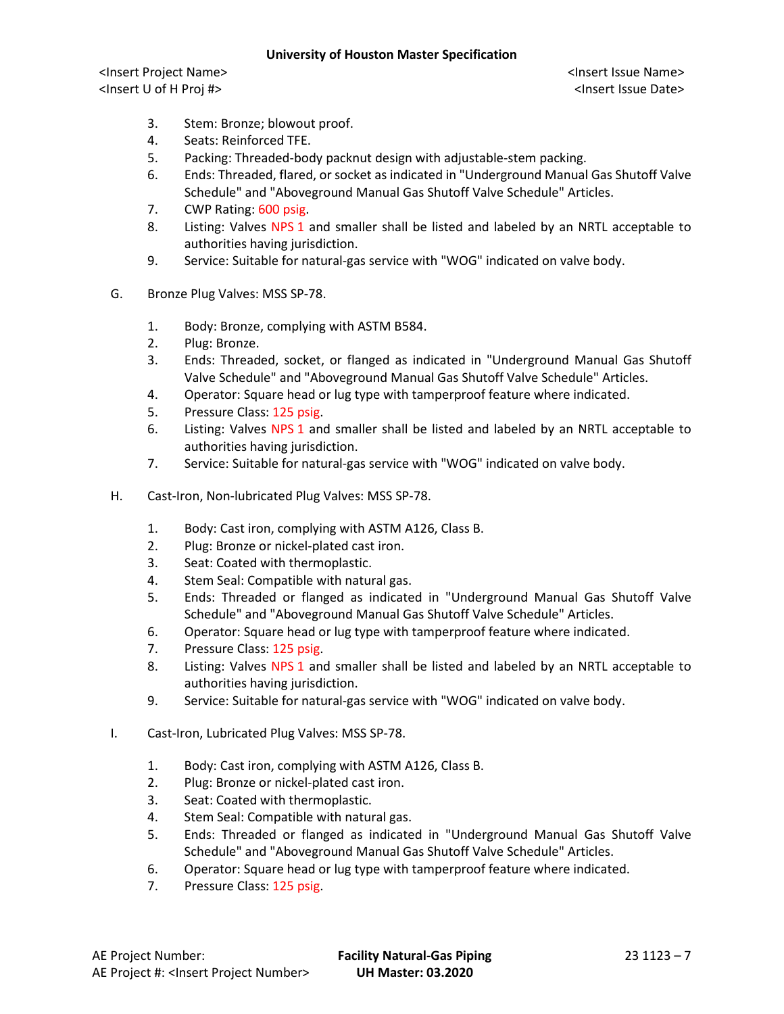<Insert Project Name> <Insert Issue Name> <Insert U of H Proj #> <Insert Issue Date>

- 3. Stem: Bronze; blowout proof.
- 4. Seats: Reinforced TFE.
- 5. Packing: Threaded-body packnut design with adjustable-stem packing.
- 6. Ends: Threaded, flared, or socket as indicated in "Underground Manual Gas Shutoff Valve Schedule" and "Aboveground Manual Gas Shutoff Valve Schedule" Articles.
- 7. CWP Rating: 600 psig.
- 8. Listing: Valves NPS 1 and smaller shall be listed and labeled by an NRTL acceptable to authorities having jurisdiction.
- 9. Service: Suitable for natural-gas service with "WOG" indicated on valve body.
- G. Bronze Plug Valves: MSS SP-78.
	- 1. Body: Bronze, complying with ASTM B584.
	- 2. Plug: Bronze.
	- 3. Ends: Threaded, socket, or flanged as indicated in "Underground Manual Gas Shutoff Valve Schedule" and "Aboveground Manual Gas Shutoff Valve Schedule" Articles.
	- 4. Operator: Square head or lug type with tamperproof feature where indicated.
	- 5. Pressure Class: 125 psig.
	- 6. Listing: Valves NPS 1 and smaller shall be listed and labeled by an NRTL acceptable to authorities having jurisdiction.
	- 7. Service: Suitable for natural-gas service with "WOG" indicated on valve body.
- H. Cast-Iron, Non-lubricated Plug Valves: MSS SP-78.
	- 1. Body: Cast iron, complying with ASTM A126, Class B.
	- 2. Plug: Bronze or nickel-plated cast iron.
	- 3. Seat: Coated with thermoplastic.
	- 4. Stem Seal: Compatible with natural gas.
	- 5. Ends: Threaded or flanged as indicated in "Underground Manual Gas Shutoff Valve Schedule" and "Aboveground Manual Gas Shutoff Valve Schedule" Articles.
	- 6. Operator: Square head or lug type with tamperproof feature where indicated.
	- 7. Pressure Class: 125 psig.
	- 8. Listing: Valves NPS 1 and smaller shall be listed and labeled by an NRTL acceptable to authorities having jurisdiction.
	- 9. Service: Suitable for natural-gas service with "WOG" indicated on valve body.
- I. Cast-Iron, Lubricated Plug Valves: MSS SP-78.
	- 1. Body: Cast iron, complying with ASTM A126, Class B.
	- 2. Plug: Bronze or nickel-plated cast iron.
	- 3. Seat: Coated with thermoplastic.
	- 4. Stem Seal: Compatible with natural gas.
	- 5. Ends: Threaded or flanged as indicated in "Underground Manual Gas Shutoff Valve Schedule" and "Aboveground Manual Gas Shutoff Valve Schedule" Articles.
	- 6. Operator: Square head or lug type with tamperproof feature where indicated.
	- 7. Pressure Class: 125 psig.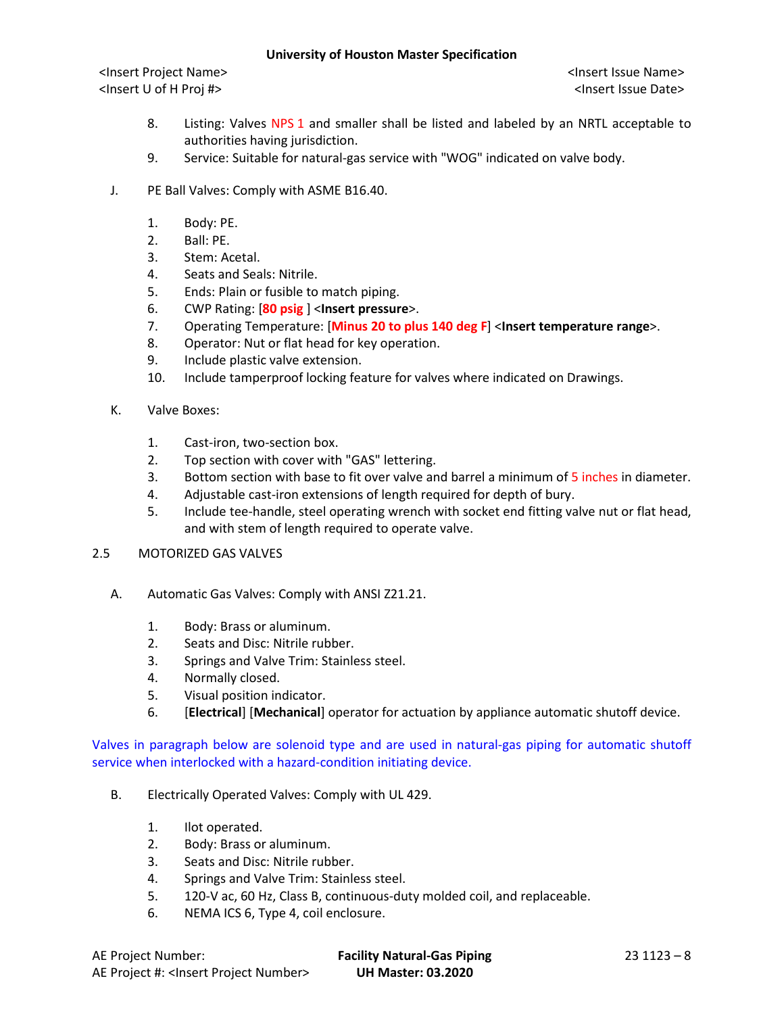<Insert Project Name> <Insert Issue Name> <Insert U of H Proj #> <Insert Issue Date>

- 8. Listing: Valves NPS 1 and smaller shall be listed and labeled by an NRTL acceptable to authorities having jurisdiction.
- 9. Service: Suitable for natural-gas service with "WOG" indicated on valve body.
- J. PE Ball Valves: Comply with ASME B16.40.
	- 1. Body: PE.
	- 2. Ball: PE.
	- 3. Stem: Acetal.
	- 4. Seats and Seals: Nitrile.
	- 5. Ends: Plain or fusible to match piping.
	- 6. CWP Rating: [**80 psig** ] <**Insert pressure**>.
	- 7. Operating Temperature: [**Minus 20 to plus 140 deg F**] <**Insert temperature range**>.
	- 8. Operator: Nut or flat head for key operation.
	- 9. Include plastic valve extension.
	- 10. Include tamperproof locking feature for valves where indicated on Drawings.
- K. Valve Boxes:
	- 1. Cast-iron, two-section box.
	- 2. Top section with cover with "GAS" lettering.
	- 3. Bottom section with base to fit over valve and barrel a minimum of 5 inches in diameter.
	- 4. Adjustable cast-iron extensions of length required for depth of bury.
	- 5. Include tee-handle, steel operating wrench with socket end fitting valve nut or flat head, and with stem of length required to operate valve.

# 2.5 MOTORIZED GAS VALVES

- A. Automatic Gas Valves: Comply with ANSI Z21.21.
	- 1. Body: Brass or aluminum.
	- 2. Seats and Disc: Nitrile rubber.
	- 3. Springs and Valve Trim: Stainless steel.
	- 4. Normally closed.
	- 5. Visual position indicator.
	- 6. [**Electrical**] [**Mechanical**] operator for actuation by appliance automatic shutoff device.

Valves in paragraph below are solenoid type and are used in natural-gas piping for automatic shutoff service when interlocked with a hazard-condition initiating device.

- B. Electrically Operated Valves: Comply with UL 429.
	- 1. Ilot operated.
	- 2. Body: Brass or aluminum.
	- 3. Seats and Disc: Nitrile rubber.
	- 4. Springs and Valve Trim: Stainless steel.
	- 5. 120-V ac, 60 Hz, Class B, continuous-duty molded coil, and replaceable.
	- 6. NEMA ICS 6, Type 4, coil enclosure.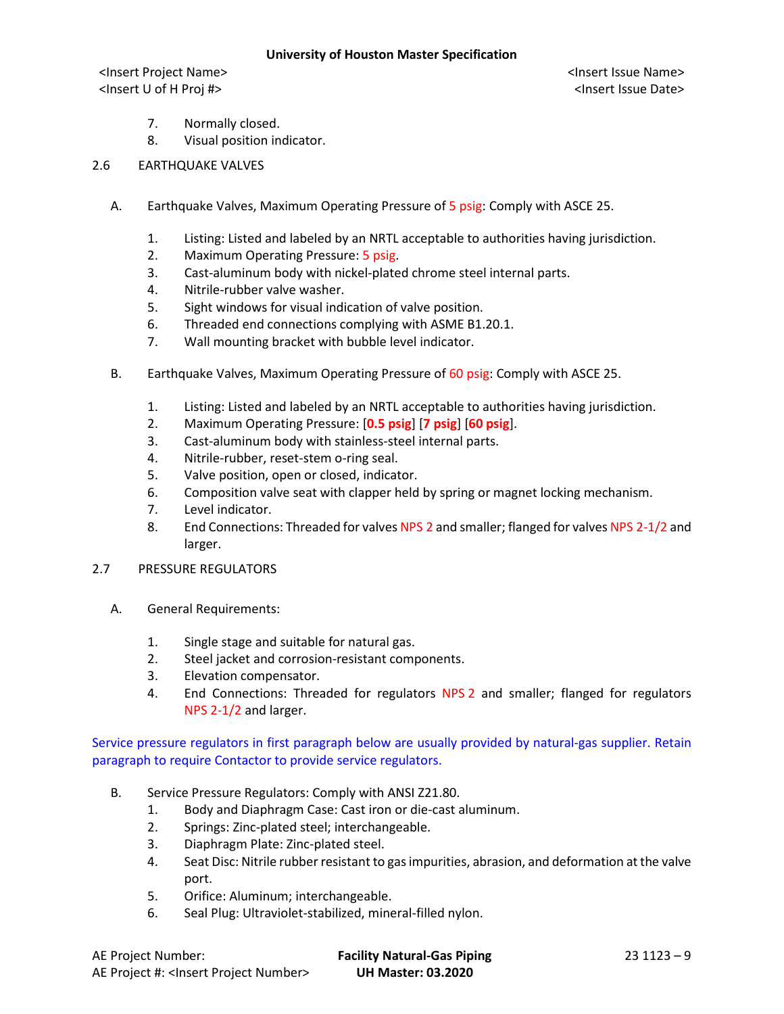<Insert Project Name> <Insert Issue Name> <Insert U of H Proj #> <Insert Issue Date>

- 7. Normally closed.
- 8. Visual position indicator.
- 2.6 EARTHQUAKE VALVES
	- A. Earthquake Valves, Maximum Operating Pressure of 5 psig: Comply with ASCE 25.
		- 1. Listing: Listed and labeled by an NRTL acceptable to authorities having jurisdiction.
		- 2. Maximum Operating Pressure: 5 psig.
		- 3. Cast-aluminum body with nickel-plated chrome steel internal parts.
		- 4. Nitrile-rubber valve washer.
		- 5. Sight windows for visual indication of valve position.
		- 6. Threaded end connections complying with ASME B1.20.1.
		- 7. Wall mounting bracket with bubble level indicator.
	- B. Earthquake Valves, Maximum Operating Pressure of 60 psig: Comply with ASCE 25.
		- 1. Listing: Listed and labeled by an NRTL acceptable to authorities having jurisdiction.
		- 2. Maximum Operating Pressure: [**0.5 psig**] [**7 psig**] [**60 psig**].
		- 3. Cast-aluminum body with stainless-steel internal parts.
		- 4. Nitrile-rubber, reset-stem o-ring seal.
		- 5. Valve position, open or closed, indicator.
		- 6. Composition valve seat with clapper held by spring or magnet locking mechanism.
		- 7. Level indicator.
		- 8. End Connections: Threaded for valves NPS 2 and smaller; flanged for valves NPS 2-1/2 and larger.
- 2.7 PRESSURE REGULATORS
	- A. General Requirements:
		- 1. Single stage and suitable for natural gas.
		- 2. Steel jacket and corrosion-resistant components.
		- 3. Elevation compensator.
		- 4. End Connections: Threaded for regulators NPS 2 and smaller; flanged for regulators NPS 2-1/2 and larger.

Service pressure regulators in first paragraph below are usually provided by natural-gas supplier. Retain paragraph to require Contactor to provide service regulators.

- B. Service Pressure Regulators: Comply with ANSI Z21.80.
	- 1. Body and Diaphragm Case: Cast iron or die-cast aluminum.
	- 2. Springs: Zinc-plated steel; interchangeable.
	- 3. Diaphragm Plate: Zinc-plated steel.
	- 4. Seat Disc: Nitrile rubber resistant to gas impurities, abrasion, and deformation at the valve port.
	- 5. Orifice: Aluminum; interchangeable.
	- 6. Seal Plug: Ultraviolet-stabilized, mineral-filled nylon.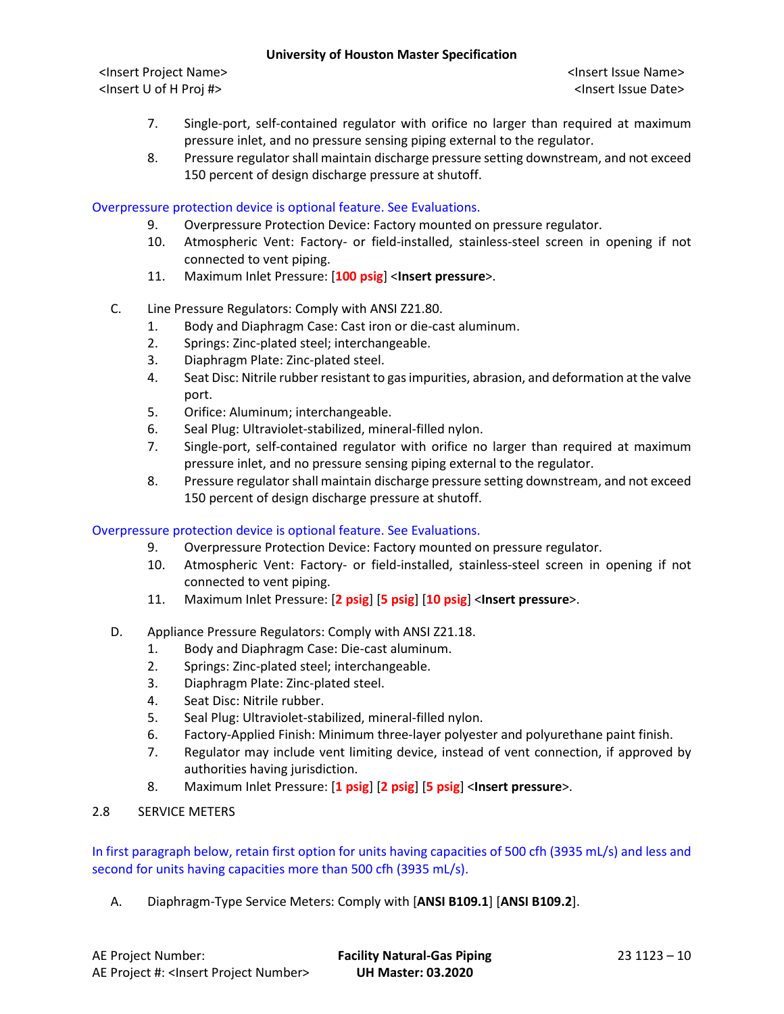<Insert Project Name> <Insert Issue Name> <Insert U of H Proj #> <Insert Issue Date>

- 7. Single-port, self-contained regulator with orifice no larger than required at maximum pressure inlet, and no pressure sensing piping external to the regulator.
- 8. Pressure regulator shall maintain discharge pressure setting downstream, and not exceed 150 percent of design discharge pressure at shutoff.

## Overpressure protection device is optional feature. See Evaluations.

- 9. Overpressure Protection Device: Factory mounted on pressure regulator.
- 10. Atmospheric Vent: Factory- or field-installed, stainless-steel screen in opening if not connected to vent piping.
- 11. Maximum Inlet Pressure: [**100 psig**] <**Insert pressure**>.
- C. Line Pressure Regulators: Comply with ANSI Z21.80.
	- 1. Body and Diaphragm Case: Cast iron or die-cast aluminum.
	- 2. Springs: Zinc-plated steel; interchangeable.
	- 3. Diaphragm Plate: Zinc-plated steel.
	- 4. Seat Disc: Nitrile rubber resistant to gas impurities, abrasion, and deformation at the valve port.
	- 5. Orifice: Aluminum; interchangeable.
	- 6. Seal Plug: Ultraviolet-stabilized, mineral-filled nylon.
	- 7. Single-port, self-contained regulator with orifice no larger than required at maximum pressure inlet, and no pressure sensing piping external to the regulator.
	- 8. Pressure regulator shall maintain discharge pressure setting downstream, and not exceed 150 percent of design discharge pressure at shutoff.

### Overpressure protection device is optional feature. See Evaluations.

- 9. Overpressure Protection Device: Factory mounted on pressure regulator.
- 10. Atmospheric Vent: Factory- or field-installed, stainless-steel screen in opening if not connected to vent piping.
- 11. Maximum Inlet Pressure: [**2 psig**] [**5 psig**] [**10 psig**] <**Insert pressure**>.
- D. Appliance Pressure Regulators: Comply with ANSI Z21.18.
	- 1. Body and Diaphragm Case: Die-cast aluminum.
	- 2. Springs: Zinc-plated steel; interchangeable.
	- 3. Diaphragm Plate: Zinc-plated steel.
	- 4. Seat Disc: Nitrile rubber.
	- 5. Seal Plug: Ultraviolet-stabilized, mineral-filled nylon.
	- 6. Factory-Applied Finish: Minimum three-layer polyester and polyurethane paint finish.
	- 7. Regulator may include vent limiting device, instead of vent connection, if approved by authorities having jurisdiction.
	- 8. Maximum Inlet Pressure: [**1 psig**] [**2 psig**] [**5 psig**] <**Insert pressure**>.
- 2.8 SERVICE METERS

In first paragraph below, retain first option for units having capacities of 500 cfh (3935 mL/s) and less and second for units having capacities more than 500 cfh (3935 mL/s).

A. Diaphragm-Type Service Meters: Comply with [**ANSI B109.1**] [**ANSI B109.2**].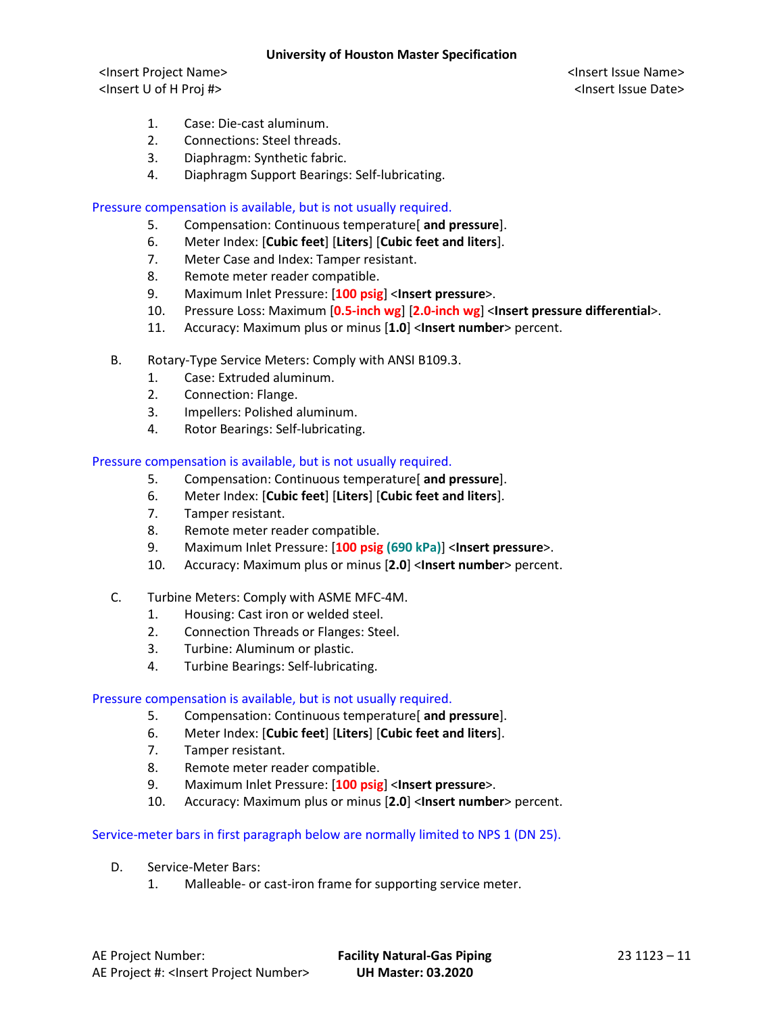<Insert Project Name> <Insert Issue Name> <Insert U of H Proj #> <Insert Issue Date>

- 1. Case: Die-cast aluminum.
- 2. Connections: Steel threads.
- 3. Diaphragm: Synthetic fabric.
- 4. Diaphragm Support Bearings: Self-lubricating.

## Pressure compensation is available, but is not usually required.

- 5. Compensation: Continuous temperature[ **and pressure**].
- 6. Meter Index: [**Cubic feet**] [**Liters**] [**Cubic feet and liters**].
- 7. Meter Case and Index: Tamper resistant.
- 8. Remote meter reader compatible.
- 9. Maximum Inlet Pressure: [**100 psig**] <**Insert pressure**>.
- 10. Pressure Loss: Maximum [**0.5-inch wg**] [**2.0-inch wg**] <**Insert pressure differential**>.
- 11. Accuracy: Maximum plus or minus [**1.0**] <**Insert number**> percent.
- B. Rotary-Type Service Meters: Comply with ANSI B109.3.
	- 1. Case: Extruded aluminum.
	- 2. Connection: Flange.
	- 3. Impellers: Polished aluminum.
	- 4. Rotor Bearings: Self-lubricating.

### Pressure compensation is available, but is not usually required.

- 5. Compensation: Continuous temperature[ **and pressure**].
- 6. Meter Index: [**Cubic feet**] [**Liters**] [**Cubic feet and liters**].
- 7. Tamper resistant.
- 8. Remote meter reader compatible.
- 9. Maximum Inlet Pressure: [**100 psig (690 kPa)**] <**Insert pressure**>.
- 10. Accuracy: Maximum plus or minus [**2.0**] <**Insert number**> percent.
- C. Turbine Meters: Comply with ASME MFC-4M.
	- 1. Housing: Cast iron or welded steel.
	- 2. Connection Threads or Flanges: Steel.
	- 3. Turbine: Aluminum or plastic.
	- 4. Turbine Bearings: Self-lubricating.

### Pressure compensation is available, but is not usually required.

- 5. Compensation: Continuous temperature[ **and pressure**].
- 6. Meter Index: [**Cubic feet**] [**Liters**] [**Cubic feet and liters**].
- 7. Tamper resistant.
- 8. Remote meter reader compatible.
- 9. Maximum Inlet Pressure: [**100 psig**] <**Insert pressure**>.
- 10. Accuracy: Maximum plus or minus [**2.0**] <**Insert number**> percent.

### Service-meter bars in first paragraph below are normally limited to NPS 1 (DN 25).

- D. Service-Meter Bars:
	- 1. Malleable- or cast-iron frame for supporting service meter.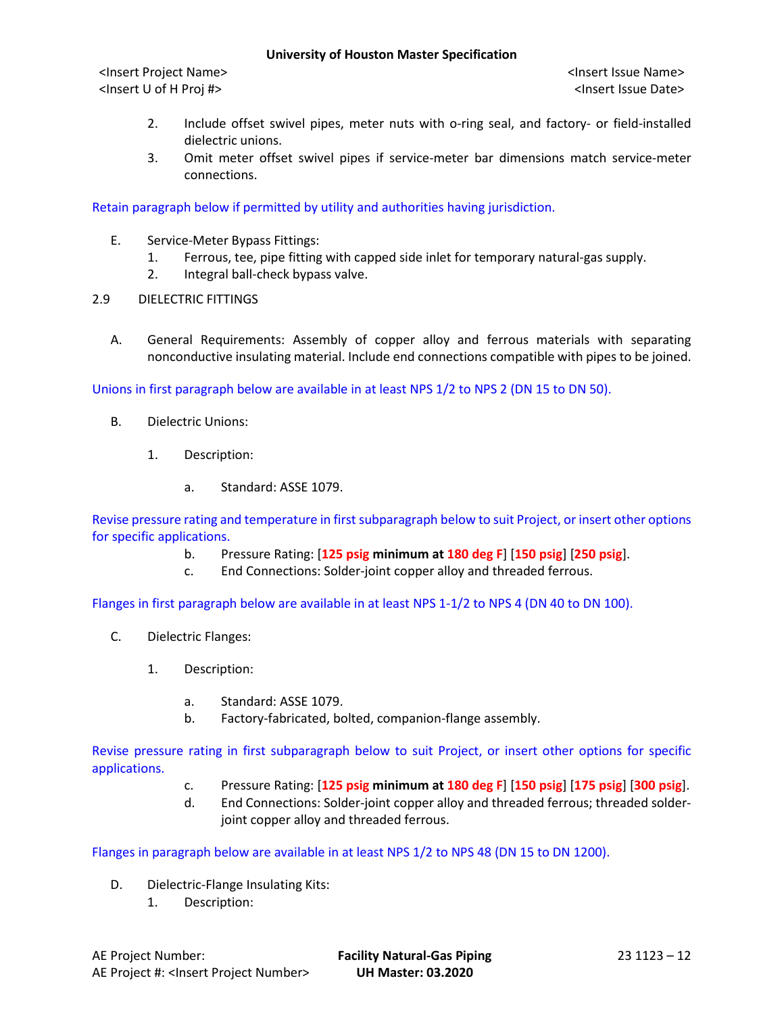<Insert Project Name> <Insert Issue Name> <Insert U of H Proj #> <Insert Issue Date>

- 2. Include offset swivel pipes, meter nuts with o-ring seal, and factory- or field-installed dielectric unions.
- 3. Omit meter offset swivel pipes if service-meter bar dimensions match service-meter connections.

Retain paragraph below if permitted by utility and authorities having jurisdiction.

- E. Service-Meter Bypass Fittings:
	- 1. Ferrous, tee, pipe fitting with capped side inlet for temporary natural-gas supply.
	- 2. Integral ball-check bypass valve.
- 2.9 DIELECTRIC FITTINGS
	- A. General Requirements: Assembly of copper alloy and ferrous materials with separating nonconductive insulating material. Include end connections compatible with pipes to be joined.

Unions in first paragraph below are available in at least NPS 1/2 to NPS 2 (DN 15 to DN 50).

- B. Dielectric Unions:
	- 1. Description:
		- a. Standard: ASSE 1079.

Revise pressure rating and temperature in first subparagraph below to suit Project, or insert other options for specific applications.

- b. Pressure Rating: [**125 psig minimum at 180 deg F**] [**150 psig**] [**250 psig**].
- c. End Connections: Solder-joint copper alloy and threaded ferrous.

Flanges in first paragraph below are available in at least NPS 1-1/2 to NPS 4 (DN 40 to DN 100).

- C. Dielectric Flanges:
	- 1. Description:
		- a. Standard: ASSE 1079.
		- b. Factory-fabricated, bolted, companion-flange assembly.

Revise pressure rating in first subparagraph below to suit Project, or insert other options for specific applications.

- c. Pressure Rating: [**125 psig minimum at 180 deg F**] [**150 psig**] [**175 psig**] [**300 psig**].
- d. End Connections: Solder-joint copper alloy and threaded ferrous; threaded solderjoint copper alloy and threaded ferrous.

Flanges in paragraph below are available in at least NPS 1/2 to NPS 48 (DN 15 to DN 1200).

- D. Dielectric-Flange Insulating Kits:
	- 1. Description: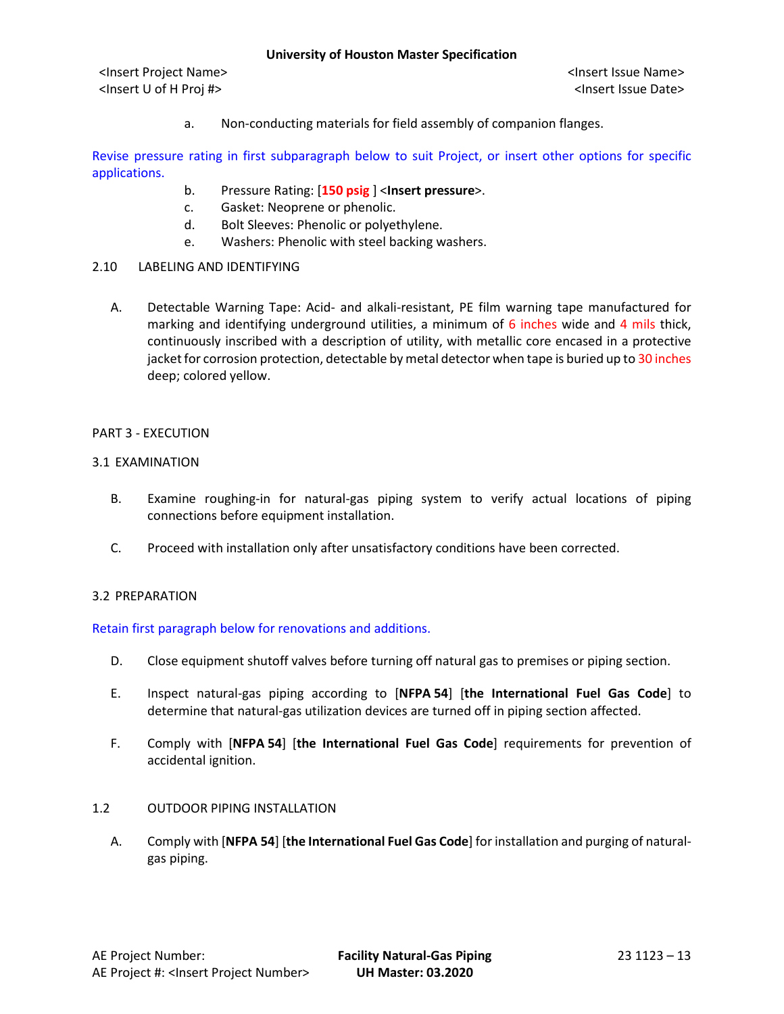<Insert Project Name> <Insert Issue Name> <Insert U of H Proj #> <Insert Issue Date>

a. Non-conducting materials for field assembly of companion flanges.

Revise pressure rating in first subparagraph below to suit Project, or insert other options for specific applications.

- b. Pressure Rating: [**150 psig** ] <**Insert pressure**>.
- c. Gasket: Neoprene or phenolic.
- d. Bolt Sleeves: Phenolic or polyethylene.
- e. Washers: Phenolic with steel backing washers.

## 2.10 LABELING AND IDENTIFYING

A. Detectable Warning Tape: Acid- and alkali-resistant, PE film warning tape manufactured for marking and identifying underground utilities, a minimum of 6 inches wide and 4 mils thick, continuously inscribed with a description of utility, with metallic core encased in a protective jacket for corrosion protection, detectable by metal detector when tape is buried up to 30 inches deep; colored yellow.

### PART 3 - EXECUTION

### 3.1 EXAMINATION

- B. Examine roughing-in for natural-gas piping system to verify actual locations of piping connections before equipment installation.
- C. Proceed with installation only after unsatisfactory conditions have been corrected.

### 3.2 PREPARATION

Retain first paragraph below for renovations and additions.

- D. Close equipment shutoff valves before turning off natural gas to premises or piping section.
- E. Inspect natural-gas piping according to [**NFPA 54**] [**the International Fuel Gas Code**] to determine that natural-gas utilization devices are turned off in piping section affected.
- F. Comply with [**NFPA 54**] [**the International Fuel Gas Code**] requirements for prevention of accidental ignition.

# 1.2 OUTDOOR PIPING INSTALLATION

A. Comply with [**NFPA 54**] [**the International Fuel Gas Code**] for installation and purging of naturalgas piping.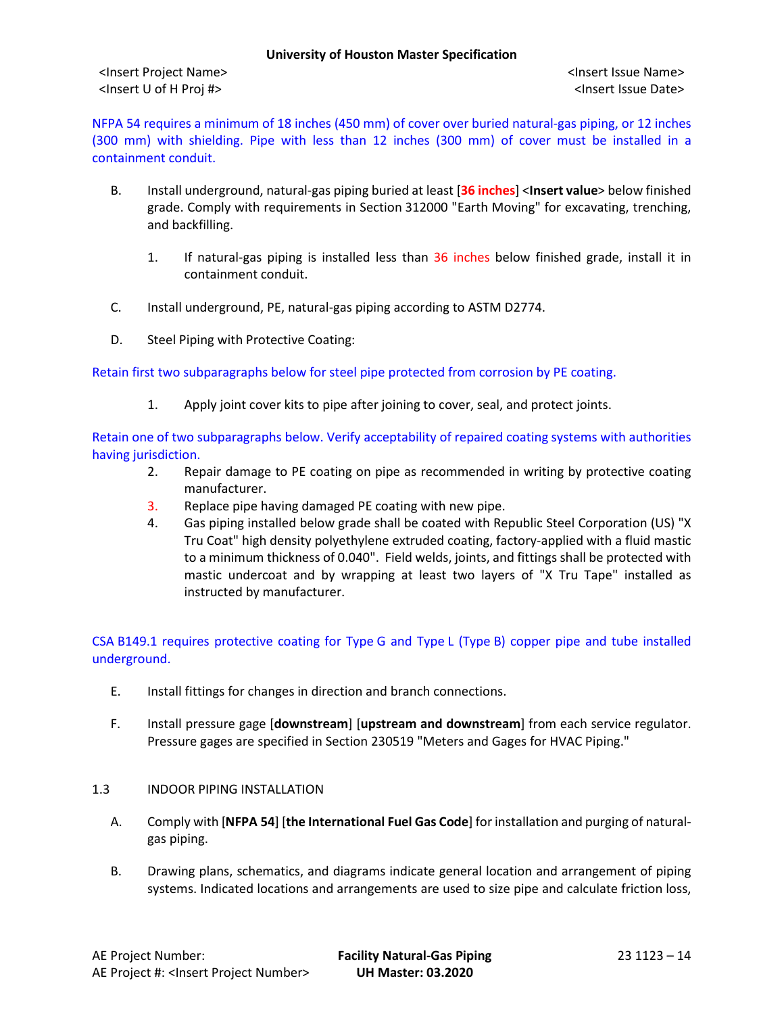NFPA 54 requires a minimum of 18 inches (450 mm) of cover over buried natural-gas piping, or 12 inches (300 mm) with shielding. Pipe with less than 12 inches (300 mm) of cover must be installed in a containment conduit.

- B. Install underground, natural-gas piping buried at least [**36 inches**] <**Insert value**> below finished grade. Comply with requirements in Section 312000 "Earth Moving" for excavating, trenching, and backfilling.
	- 1. If natural-gas piping is installed less than 36 inches below finished grade, install it in containment conduit.
- C. Install underground, PE, natural-gas piping according to ASTM D2774.
- D. Steel Piping with Protective Coating:

Retain first two subparagraphs below for steel pipe protected from corrosion by PE coating.

1. Apply joint cover kits to pipe after joining to cover, seal, and protect joints.

Retain one of two subparagraphs below. Verify acceptability of repaired coating systems with authorities having jurisdiction.

- 2. Repair damage to PE coating on pipe as recommended in writing by protective coating manufacturer.
- 3. Replace pipe having damaged PE coating with new pipe.
- 4. Gas piping installed below grade shall be coated with Republic Steel Corporation (US) "X Tru Coat" high density polyethylene extruded coating, factory-applied with a fluid mastic to a minimum thickness of 0.040". Field welds, joints, and fittings shall be protected with mastic undercoat and by wrapping at least two layers of "X Tru Tape" installed as instructed by manufacturer.

CSA B149.1 requires protective coating for Type G and Type L (Type B) copper pipe and tube installed underground.

- E. Install fittings for changes in direction and branch connections.
- F. Install pressure gage [**downstream**] [**upstream and downstream**] from each service regulator. Pressure gages are specified in Section 230519 "Meters and Gages for HVAC Piping."
- 1.3 INDOOR PIPING INSTALLATION
	- A. Comply with [**NFPA 54**] [**the International Fuel Gas Code**] for installation and purging of naturalgas piping.
	- B. Drawing plans, schematics, and diagrams indicate general location and arrangement of piping systems. Indicated locations and arrangements are used to size pipe and calculate friction loss,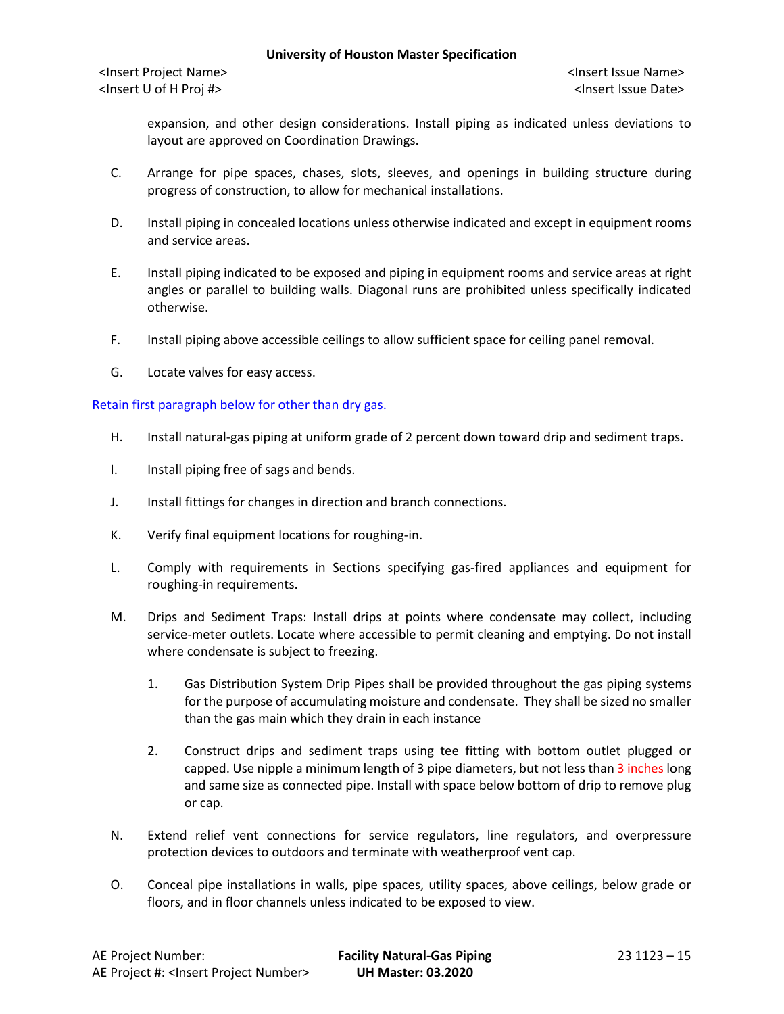<Insert Project Name> <Insert Issue Name> <Insert U of H Proj #> <Insert Issue Date>

expansion, and other design considerations. Install piping as indicated unless deviations to layout are approved on Coordination Drawings.

- C. Arrange for pipe spaces, chases, slots, sleeves, and openings in building structure during progress of construction, to allow for mechanical installations.
- D. Install piping in concealed locations unless otherwise indicated and except in equipment rooms and service areas.
- E. Install piping indicated to be exposed and piping in equipment rooms and service areas at right angles or parallel to building walls. Diagonal runs are prohibited unless specifically indicated otherwise.
- F. Install piping above accessible ceilings to allow sufficient space for ceiling panel removal.
- G. Locate valves for easy access.

### Retain first paragraph below for other than dry gas.

- H. Install natural-gas piping at uniform grade of 2 percent down toward drip and sediment traps.
- I. Install piping free of sags and bends.
- J. Install fittings for changes in direction and branch connections.
- K. Verify final equipment locations for roughing-in.
- L. Comply with requirements in Sections specifying gas-fired appliances and equipment for roughing-in requirements.
- M. Drips and Sediment Traps: Install drips at points where condensate may collect, including service-meter outlets. Locate where accessible to permit cleaning and emptying. Do not install where condensate is subject to freezing.
	- 1. Gas Distribution System Drip Pipes shall be provided throughout the gas piping systems for the purpose of accumulating moisture and condensate. They shall be sized no smaller than the gas main which they drain in each instance
	- 2. Construct drips and sediment traps using tee fitting with bottom outlet plugged or capped. Use nipple a minimum length of 3 pipe diameters, but not less than 3 inches long and same size as connected pipe. Install with space below bottom of drip to remove plug or cap.
- N. Extend relief vent connections for service regulators, line regulators, and overpressure protection devices to outdoors and terminate with weatherproof vent cap.
- O. Conceal pipe installations in walls, pipe spaces, utility spaces, above ceilings, below grade or floors, and in floor channels unless indicated to be exposed to view.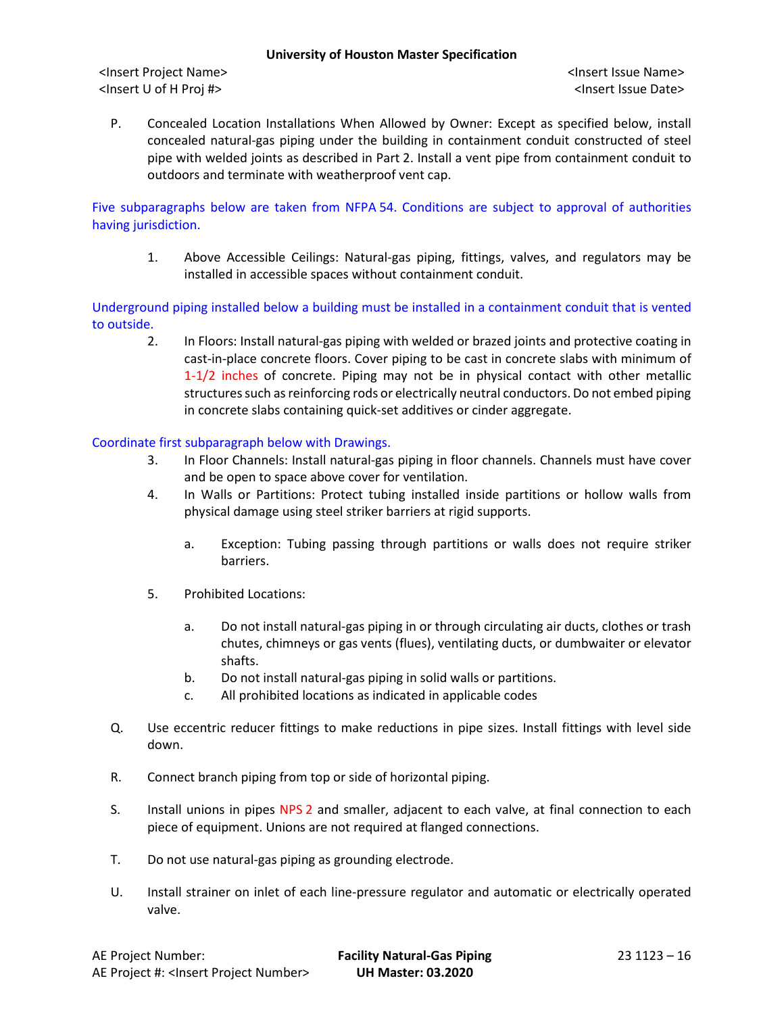<Insert Project Name> <Insert Issue Name> <Insert U of H Proj #> <Insert Issue Date>

P. Concealed Location Installations When Allowed by Owner: Except as specified below, install concealed natural-gas piping under the building in containment conduit constructed of steel pipe with welded joints as described in Part 2. Install a vent pipe from containment conduit to outdoors and terminate with weatherproof vent cap.

Five subparagraphs below are taken from NFPA 54. Conditions are subject to approval of authorities having jurisdiction.

1. Above Accessible Ceilings: Natural-gas piping, fittings, valves, and regulators may be installed in accessible spaces without containment conduit.

Underground piping installed below a building must be installed in a containment conduit that is vented to outside.

2. In Floors: Install natural-gas piping with welded or brazed joints and protective coating in cast-in-place concrete floors. Cover piping to be cast in concrete slabs with minimum of 1-1/2 inches of concrete. Piping may not be in physical contact with other metallic structures such as reinforcing rods or electrically neutral conductors. Do not embed piping in concrete slabs containing quick-set additives or cinder aggregate.

Coordinate first subparagraph below with Drawings.

- 3. In Floor Channels: Install natural-gas piping in floor channels. Channels must have cover and be open to space above cover for ventilation.
- 4. In Walls or Partitions: Protect tubing installed inside partitions or hollow walls from physical damage using steel striker barriers at rigid supports.
	- a. Exception: Tubing passing through partitions or walls does not require striker barriers.
- 5. Prohibited Locations:
	- a. Do not install natural-gas piping in or through circulating air ducts, clothes or trash chutes, chimneys or gas vents (flues), ventilating ducts, or dumbwaiter or elevator shafts.
	- b. Do not install natural-gas piping in solid walls or partitions.
	- c. All prohibited locations as indicated in applicable codes
- Q. Use eccentric reducer fittings to make reductions in pipe sizes. Install fittings with level side down.
- R. Connect branch piping from top or side of horizontal piping.
- S. Install unions in pipes NPS 2 and smaller, adjacent to each valve, at final connection to each piece of equipment. Unions are not required at flanged connections.
- T. Do not use natural-gas piping as grounding electrode.
- U. Install strainer on inlet of each line-pressure regulator and automatic or electrically operated valve.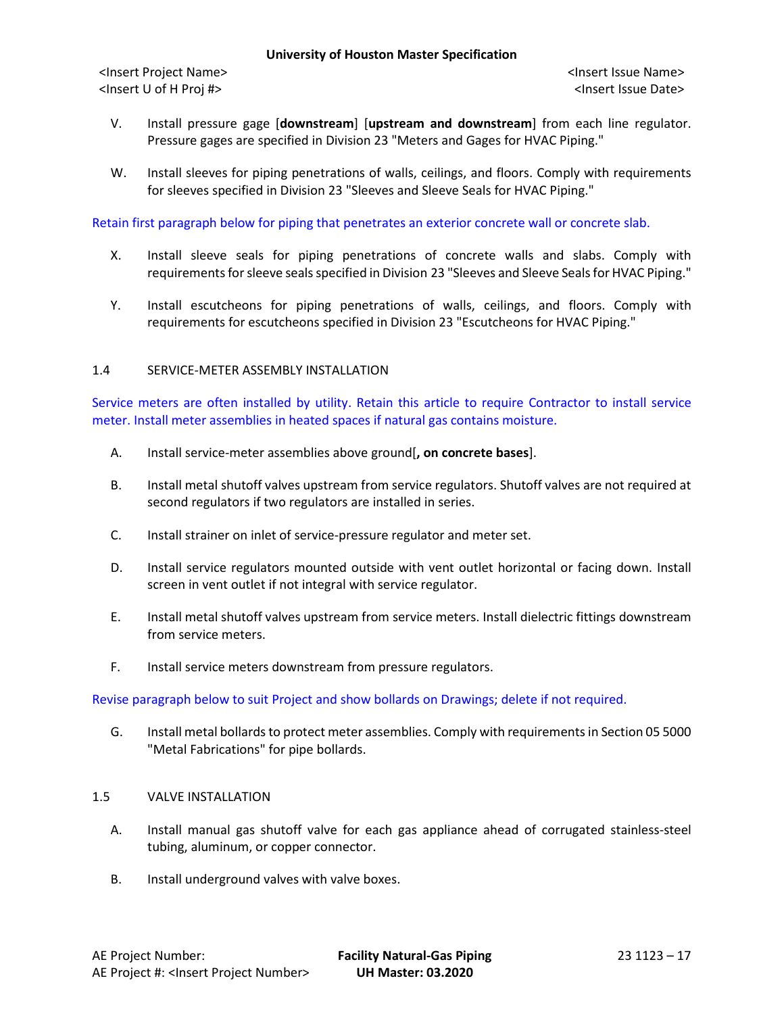- V. Install pressure gage [**downstream**] [**upstream and downstream**] from each line regulator. Pressure gages are specified in Division 23 "Meters and Gages for HVAC Piping."
- W. Install sleeves for piping penetrations of walls, ceilings, and floors. Comply with requirements for sleeves specified in Division 23 "Sleeves and Sleeve Seals for HVAC Piping."

Retain first paragraph below for piping that penetrates an exterior concrete wall or concrete slab.

- X. Install sleeve seals for piping penetrations of concrete walls and slabs. Comply with requirements for sleeve seals specified in Division 23 "Sleeves and Sleeve Seals for HVAC Piping."
- Y. Install escutcheons for piping penetrations of walls, ceilings, and floors. Comply with requirements for escutcheons specified in Division 23 "Escutcheons for HVAC Piping."

### 1.4 SERVICE-METER ASSEMBLY INSTALLATION

Service meters are often installed by utility. Retain this article to require Contractor to install service meter. Install meter assemblies in heated spaces if natural gas contains moisture.

- A. Install service-meter assemblies above ground[**, on concrete bases**].
- B. Install metal shutoff valves upstream from service regulators. Shutoff valves are not required at second regulators if two regulators are installed in series.
- C. Install strainer on inlet of service-pressure regulator and meter set.
- D. Install service regulators mounted outside with vent outlet horizontal or facing down. Install screen in vent outlet if not integral with service regulator.
- E. Install metal shutoff valves upstream from service meters. Install dielectric fittings downstream from service meters.
- F. Install service meters downstream from pressure regulators.

Revise paragraph below to suit Project and show bollards on Drawings; delete if not required.

G. Install metal bollards to protect meter assemblies. Comply with requirements in Section 05 5000 "Metal Fabrications" for pipe bollards.

# 1.5 VALVE INSTALLATION

- A. Install manual gas shutoff valve for each gas appliance ahead of corrugated stainless-steel tubing, aluminum, or copper connector.
- B. Install underground valves with valve boxes.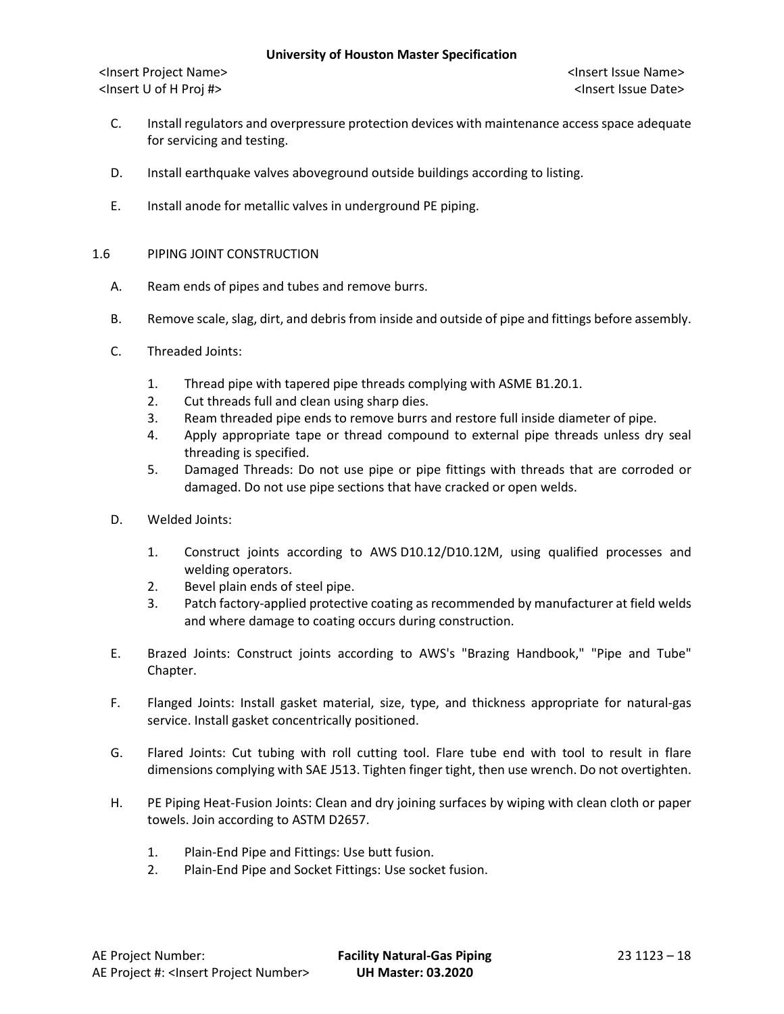- C. Install regulators and overpressure protection devices with maintenance access space adequate for servicing and testing.
- D. Install earthquake valves aboveground outside buildings according to listing.
- E. Install anode for metallic valves in underground PE piping.
- 1.6 PIPING JOINT CONSTRUCTION
	- A. Ream ends of pipes and tubes and remove burrs.
	- B. Remove scale, slag, dirt, and debris from inside and outside of pipe and fittings before assembly.
	- C. Threaded Joints:
		- 1. Thread pipe with tapered pipe threads complying with ASME B1.20.1.
		- 2. Cut threads full and clean using sharp dies.
		- 3. Ream threaded pipe ends to remove burrs and restore full inside diameter of pipe.
		- 4. Apply appropriate tape or thread compound to external pipe threads unless dry seal threading is specified.
		- 5. Damaged Threads: Do not use pipe or pipe fittings with threads that are corroded or damaged. Do not use pipe sections that have cracked or open welds.
	- D. Welded Joints:
		- 1. Construct joints according to AWS D10.12/D10.12M, using qualified processes and welding operators.
		- 2. Bevel plain ends of steel pipe.
		- 3. Patch factory-applied protective coating as recommended by manufacturer at field welds and where damage to coating occurs during construction.
	- E. Brazed Joints: Construct joints according to AWS's "Brazing Handbook," "Pipe and Tube" Chapter.
	- F. Flanged Joints: Install gasket material, size, type, and thickness appropriate for natural-gas service. Install gasket concentrically positioned.
	- G. Flared Joints: Cut tubing with roll cutting tool. Flare tube end with tool to result in flare dimensions complying with SAE J513. Tighten finger tight, then use wrench. Do not overtighten.
	- H. PE Piping Heat-Fusion Joints: Clean and dry joining surfaces by wiping with clean cloth or paper towels. Join according to ASTM D2657.
		- 1. Plain-End Pipe and Fittings: Use butt fusion.
		- 2. Plain-End Pipe and Socket Fittings: Use socket fusion.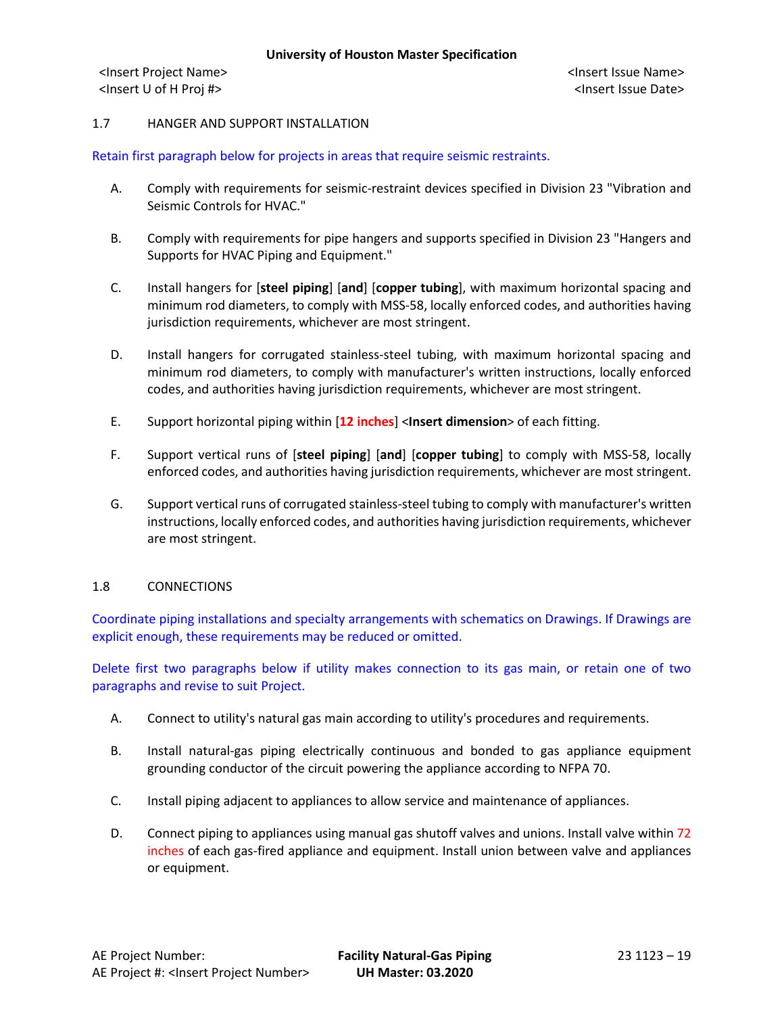## 1.7 HANGER AND SUPPORT INSTALLATION

## Retain first paragraph below for projects in areas that require seismic restraints.

- A. Comply with requirements for seismic-restraint devices specified in Division 23 "Vibration and Seismic Controls for HVAC."
- B. Comply with requirements for pipe hangers and supports specified in Division 23 "Hangers and Supports for HVAC Piping and Equipment."
- C. Install hangers for [**steel piping**] [**and**] [**copper tubing**], with maximum horizontal spacing and minimum rod diameters, to comply with MSS-58, locally enforced codes, and authorities having jurisdiction requirements, whichever are most stringent.
- D. Install hangers for corrugated stainless-steel tubing, with maximum horizontal spacing and minimum rod diameters, to comply with manufacturer's written instructions, locally enforced codes, and authorities having jurisdiction requirements, whichever are most stringent.
- E. Support horizontal piping within [**12 inches**] <**Insert dimension**> of each fitting.
- F. Support vertical runs of [**steel piping**] [**and**] [**copper tubing**] to comply with MSS-58, locally enforced codes, and authorities having jurisdiction requirements, whichever are most stringent.
- G. Support vertical runs of corrugated stainless-steel tubing to comply with manufacturer's written instructions, locally enforced codes, and authorities having jurisdiction requirements, whichever are most stringent.

### 1.8 CONNECTIONS

Coordinate piping installations and specialty arrangements with schematics on Drawings. If Drawings are explicit enough, these requirements may be reduced or omitted.

Delete first two paragraphs below if utility makes connection to its gas main, or retain one of two paragraphs and revise to suit Project.

- A. Connect to utility's natural gas main according to utility's procedures and requirements.
- B. Install natural-gas piping electrically continuous and bonded to gas appliance equipment grounding conductor of the circuit powering the appliance according to NFPA 70.
- C. Install piping adjacent to appliances to allow service and maintenance of appliances.
- D. Connect piping to appliances using manual gas shutoff valves and unions. Install valve within 72 inches of each gas-fired appliance and equipment. Install union between valve and appliances or equipment.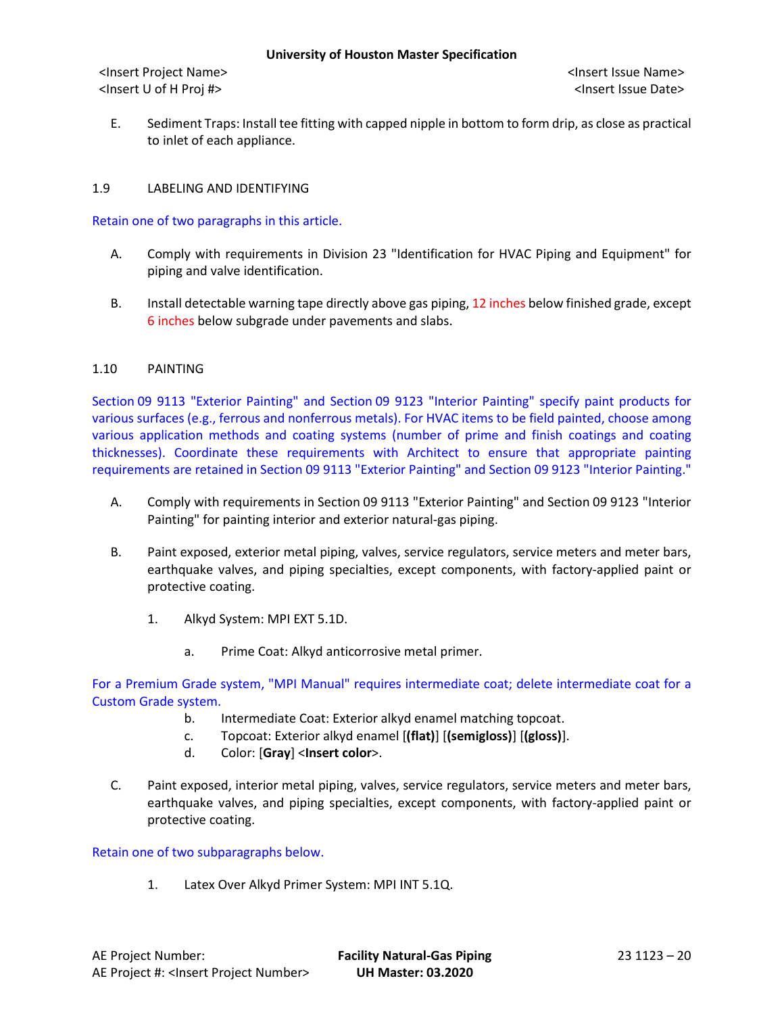E. Sediment Traps: Install tee fitting with capped nipple in bottom to form drip, as close as practical to inlet of each appliance.

## 1.9 LABELING AND IDENTIFYING

Retain one of two paragraphs in this article.

- A. Comply with requirements in Division 23 "Identification for HVAC Piping and Equipment" for piping and valve identification.
- B. Install detectable warning tape directly above gas piping, 12 inches below finished grade, except 6 inches below subgrade under pavements and slabs.

### 1.10 PAINTING

Section 09 9113 "Exterior Painting" and Section 09 9123 "Interior Painting" specify paint products for various surfaces (e.g., ferrous and nonferrous metals). For HVAC items to be field painted, choose among various application methods and coating systems (number of prime and finish coatings and coating thicknesses). Coordinate these requirements with Architect to ensure that appropriate painting requirements are retained in Section 09 9113 "Exterior Painting" and Section 09 9123 "Interior Painting."

- A. Comply with requirements in Section 09 9113 "Exterior Painting" and Section 09 9123 "Interior Painting" for painting interior and exterior natural-gas piping.
- B. Paint exposed, exterior metal piping, valves, service regulators, service meters and meter bars, earthquake valves, and piping specialties, except components, with factory-applied paint or protective coating.
	- 1. Alkyd System: MPI EXT 5.1D.
		- a. Prime Coat: Alkyd anticorrosive metal primer.

For a Premium Grade system, "MPI Manual" requires intermediate coat; delete intermediate coat for a Custom Grade system.

- b. Intermediate Coat: Exterior alkyd enamel matching topcoat.
- c. Topcoat: Exterior alkyd enamel [**(flat)**] [**(semigloss)**] [**(gloss)**].
- d. Color: [**Gray**] <**Insert color**>.
- C. Paint exposed, interior metal piping, valves, service regulators, service meters and meter bars, earthquake valves, and piping specialties, except components, with factory-applied paint or protective coating.

Retain one of two subparagraphs below.

1. Latex Over Alkyd Primer System: MPI INT 5.1Q.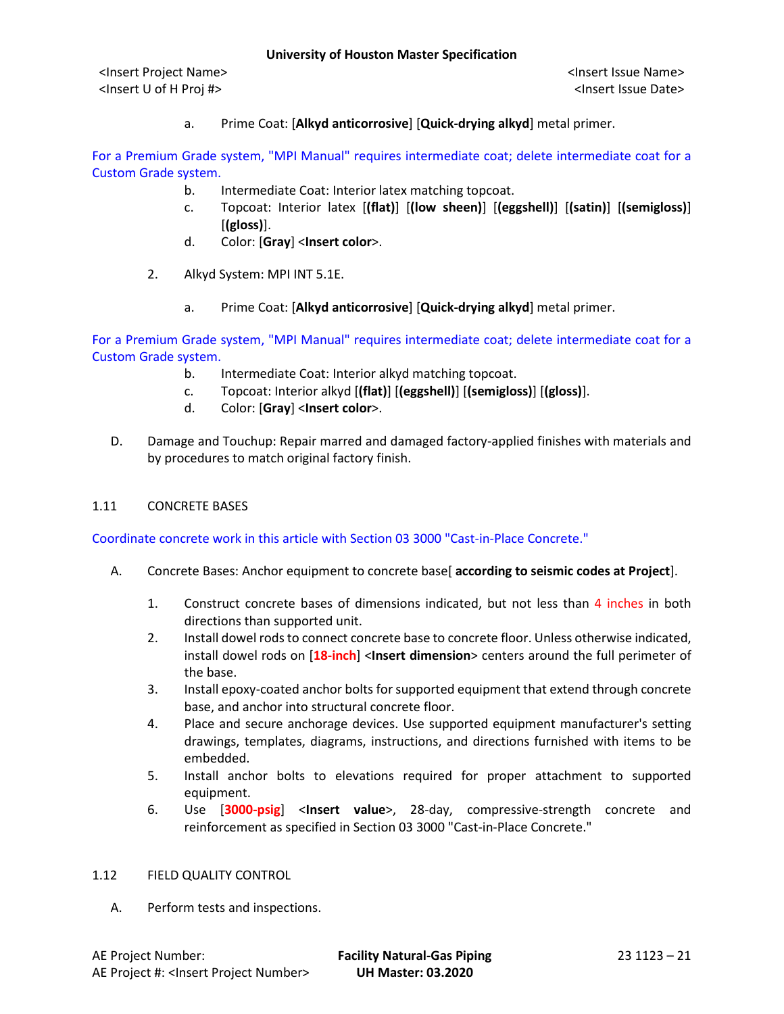a. Prime Coat: [**Alkyd anticorrosive**] [**Quick-drying alkyd**] metal primer.

For a Premium Grade system, "MPI Manual" requires intermediate coat; delete intermediate coat for a Custom Grade system.

- b. Intermediate Coat: Interior latex matching topcoat.
- c. Topcoat: Interior latex [**(flat)**] [**(low sheen)**] [**(eggshell)**] [**(satin)**] [**(semigloss)**] [**(gloss)**].
- d. Color: [**Gray**] <**Insert color**>.
- 2. Alkyd System: MPI INT 5.1E.
	- a. Prime Coat: [**Alkyd anticorrosive**] [**Quick-drying alkyd**] metal primer.

For a Premium Grade system, "MPI Manual" requires intermediate coat; delete intermediate coat for a Custom Grade system.

- b. Intermediate Coat: Interior alkyd matching topcoat.
- c. Topcoat: Interior alkyd [**(flat)**] [**(eggshell)**] [**(semigloss)**] [**(gloss)**].
- d. Color: [**Gray**] <**Insert color**>.
- D. Damage and Touchup: Repair marred and damaged factory-applied finishes with materials and by procedures to match original factory finish.

## 1.11 CONCRETE BASES

Coordinate concrete work in this article with Section 03 3000 "Cast-in-Place Concrete."

- A. Concrete Bases: Anchor equipment to concrete base[ **according to seismic codes at Project**].
	- 1. Construct concrete bases of dimensions indicated, but not less than 4 inches in both directions than supported unit.
	- 2. Install dowel rods to connect concrete base to concrete floor. Unless otherwise indicated, install dowel rods on [**18-inch**] <**Insert dimension**> centers around the full perimeter of the base.
	- 3. Install epoxy-coated anchor bolts for supported equipment that extend through concrete base, and anchor into structural concrete floor.
	- 4. Place and secure anchorage devices. Use supported equipment manufacturer's setting drawings, templates, diagrams, instructions, and directions furnished with items to be embedded.
	- 5. Install anchor bolts to elevations required for proper attachment to supported equipment.
	- 6. Use [**3000-psig**] <**Insert value**>, 28-day, compressive-strength concrete and reinforcement as specified in Section 03 3000 "Cast-in-Place Concrete."

### 1.12 FIELD QUALITY CONTROL

A. Perform tests and inspections.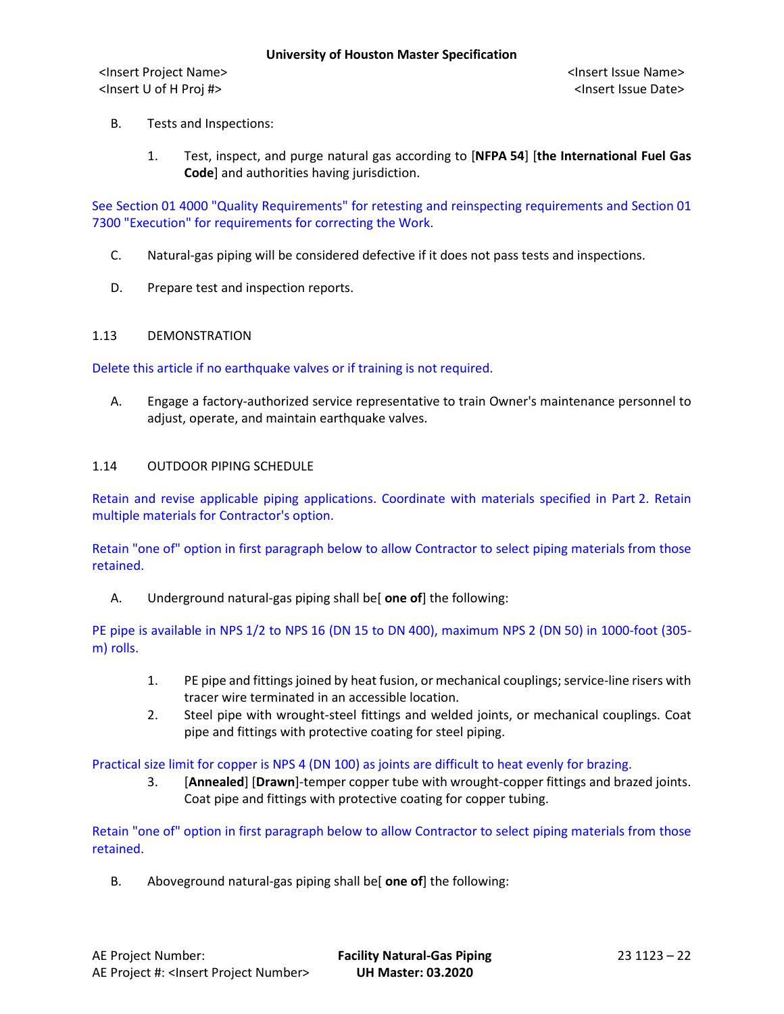- B. Tests and Inspections:
	- 1. Test, inspect, and purge natural gas according to [**NFPA 54**] [**the International Fuel Gas Code**] and authorities having jurisdiction.

See Section 01 4000 "Quality Requirements" for retesting and reinspecting requirements and Section 01 7300 "Execution" for requirements for correcting the Work.

- C. Natural-gas piping will be considered defective if it does not pass tests and inspections.
- D. Prepare test and inspection reports.

### 1.13 DEMONSTRATION

Delete this article if no earthquake valves or if training is not required.

A. Engage a factory-authorized service representative to train Owner's maintenance personnel to adjust, operate, and maintain earthquake valves.

#### 1.14 OUTDOOR PIPING SCHEDULE

Retain and revise applicable piping applications. Coordinate with materials specified in Part 2. Retain multiple materials for Contractor's option.

Retain "one of" option in first paragraph below to allow Contractor to select piping materials from those retained.

### A. Underground natural-gas piping shall be[ **one of**] the following:

PE pipe is available in NPS 1/2 to NPS 16 (DN 15 to DN 400), maximum NPS 2 (DN 50) in 1000-foot (305 m) rolls.

- 1. PE pipe and fittings joined by heat fusion, or mechanical couplings; service-line risers with tracer wire terminated in an accessible location.
- 2. Steel pipe with wrought-steel fittings and welded joints, or mechanical couplings. Coat pipe and fittings with protective coating for steel piping.

### Practical size limit for copper is NPS 4 (DN 100) as joints are difficult to heat evenly for brazing.

3. [**Annealed**] [**Drawn**]-temper copper tube with wrought-copper fittings and brazed joints. Coat pipe and fittings with protective coating for copper tubing.

Retain "one of" option in first paragraph below to allow Contractor to select piping materials from those retained.

B. Aboveground natural-gas piping shall be[ **one of**] the following: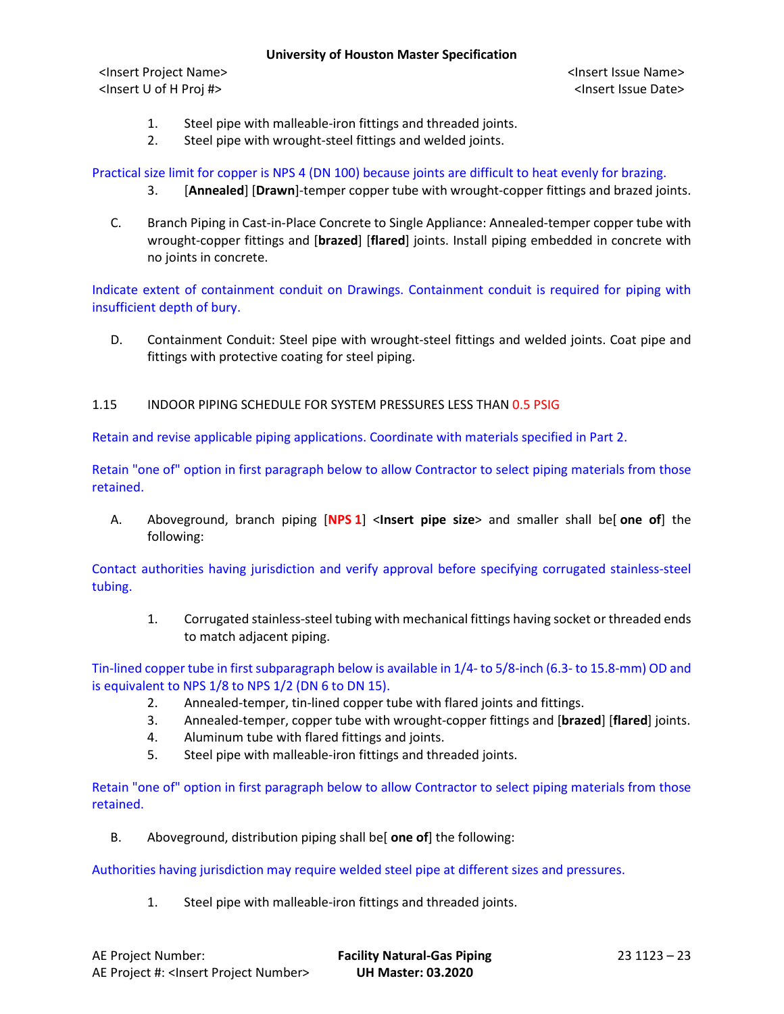<Insert Project Name> <Insert Issue Name> <Insert U of H Proj #> <Insert Issue Date>

- 1. Steel pipe with malleable-iron fittings and threaded joints.
- 2. Steel pipe with wrought-steel fittings and welded joints.

Practical size limit for copper is NPS 4 (DN 100) because joints are difficult to heat evenly for brazing.

- 3. [**Annealed**] [**Drawn**]-temper copper tube with wrought-copper fittings and brazed joints.
- C. Branch Piping in Cast-in-Place Concrete to Single Appliance: Annealed-temper copper tube with wrought-copper fittings and [**brazed**] [**flared**] joints. Install piping embedded in concrete with no joints in concrete.

Indicate extent of containment conduit on Drawings. Containment conduit is required for piping with insufficient depth of bury.

D. Containment Conduit: Steel pipe with wrought-steel fittings and welded joints. Coat pipe and fittings with protective coating for steel piping.

# 1.15 INDOOR PIPING SCHEDULE FOR SYSTEM PRESSURES LESS THAN 0.5 PSIG

Retain and revise applicable piping applications. Coordinate with materials specified in Part 2.

Retain "one of" option in first paragraph below to allow Contractor to select piping materials from those retained.

A. Aboveground, branch piping [**NPS 1**] <**Insert pipe size**> and smaller shall be[ **one of**] the following:

Contact authorities having jurisdiction and verify approval before specifying corrugated stainless-steel tubing.

1. Corrugated stainless-steel tubing with mechanical fittings having socket or threaded ends to match adjacent piping.

Tin-lined copper tube in first subparagraph below is available in 1/4- to 5/8-inch (6.3- to 15.8-mm) OD and is equivalent to NPS 1/8 to NPS 1/2 (DN 6 to DN 15).

- 2. Annealed-temper, tin-lined copper tube with flared joints and fittings.
- 3. Annealed-temper, copper tube with wrought-copper fittings and [**brazed**] [**flared**] joints.
- 4. Aluminum tube with flared fittings and joints.
- 5. Steel pipe with malleable-iron fittings and threaded joints.

Retain "one of" option in first paragraph below to allow Contractor to select piping materials from those retained.

B. Aboveground, distribution piping shall be[ **one of**] the following:

Authorities having jurisdiction may require welded steel pipe at different sizes and pressures.

1. Steel pipe with malleable-iron fittings and threaded joints.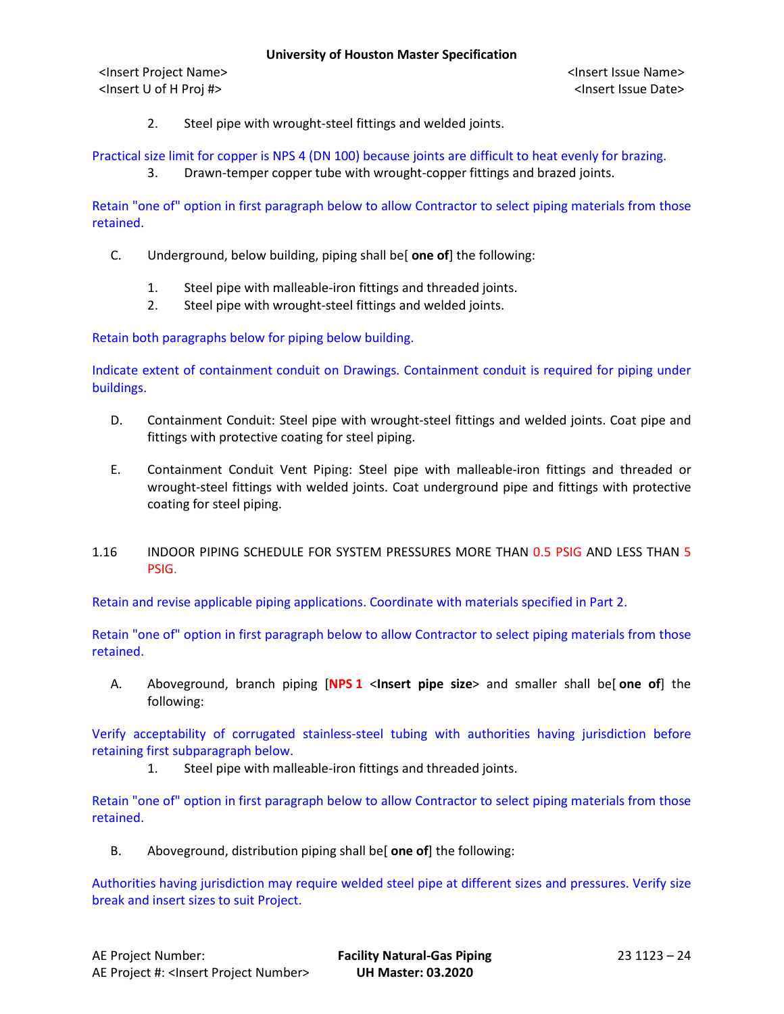<Insert Project Name> <Insert Issue Name> <Insert U of H Proj #> <Insert Issue Date>

2. Steel pipe with wrought-steel fittings and welded joints.

## Practical size limit for copper is NPS 4 (DN 100) because joints are difficult to heat evenly for brazing.

3. Drawn-temper copper tube with wrought-copper fittings and brazed joints.

Retain "one of" option in first paragraph below to allow Contractor to select piping materials from those retained.

- C. Underground, below building, piping shall be[ **one of**] the following:
	- 1. Steel pipe with malleable-iron fittings and threaded joints.
	- 2. Steel pipe with wrought-steel fittings and welded joints.

Retain both paragraphs below for piping below building.

Indicate extent of containment conduit on Drawings. Containment conduit is required for piping under buildings.

- D. Containment Conduit: Steel pipe with wrought-steel fittings and welded joints. Coat pipe and fittings with protective coating for steel piping.
- E. Containment Conduit Vent Piping: Steel pipe with malleable-iron fittings and threaded or wrought-steel fittings with welded joints. Coat underground pipe and fittings with protective coating for steel piping.
- 1.16 INDOOR PIPING SCHEDULE FOR SYSTEM PRESSURES MORE THAN 0.5 PSIG AND LESS THAN 5 PSIG.

Retain and revise applicable piping applications. Coordinate with materials specified in Part 2.

Retain "one of" option in first paragraph below to allow Contractor to select piping materials from those retained.

A. Aboveground, branch piping [**NPS 1** <**Insert pipe size**> and smaller shall be[ **one of**] the following:

Verify acceptability of corrugated stainless-steel tubing with authorities having jurisdiction before retaining first subparagraph below.

1. Steel pipe with malleable-iron fittings and threaded joints.

Retain "one of" option in first paragraph below to allow Contractor to select piping materials from those retained.

B. Aboveground, distribution piping shall be[ **one of**] the following:

Authorities having jurisdiction may require welded steel pipe at different sizes and pressures. Verify size break and insert sizes to suit Project.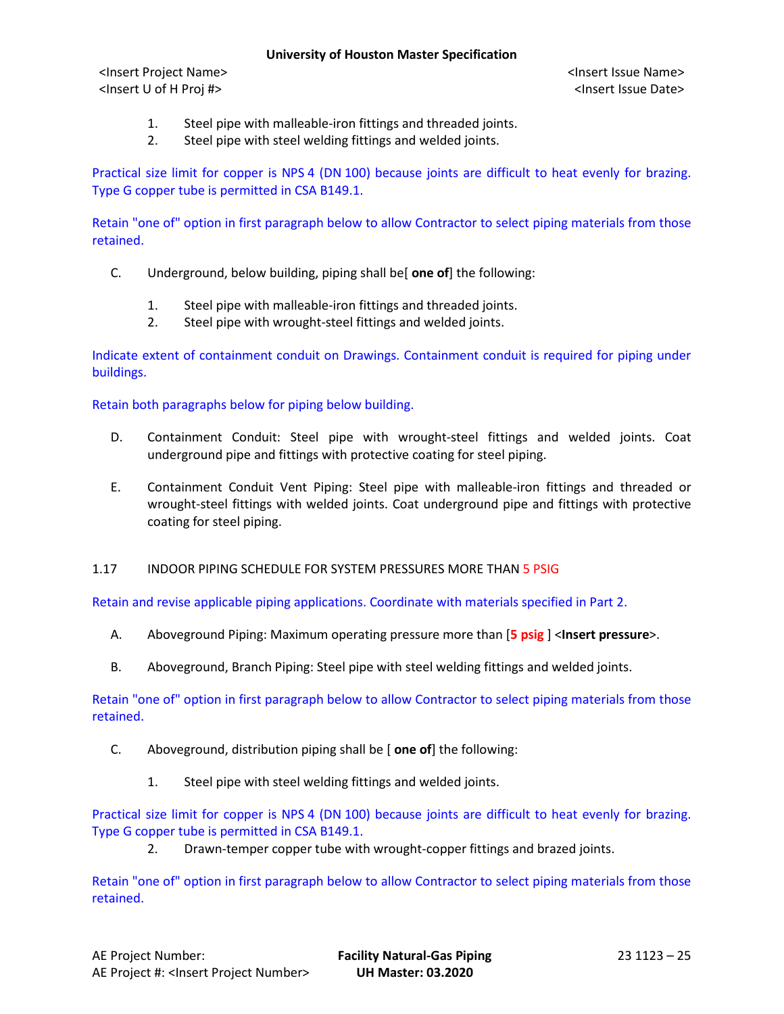<Insert Project Name> <Insert Issue Name> <Insert U of H Proj #> <Insert Issue Date>

- 1. Steel pipe with malleable-iron fittings and threaded joints.
- 2. Steel pipe with steel welding fittings and welded joints.

Practical size limit for copper is NPS 4 (DN 100) because joints are difficult to heat evenly for brazing. Type G copper tube is permitted in CSA B149.1.

Retain "one of" option in first paragraph below to allow Contractor to select piping materials from those retained.

- C. Underground, below building, piping shall be[ **one of**] the following:
	- 1. Steel pipe with malleable-iron fittings and threaded joints.
	- 2. Steel pipe with wrought-steel fittings and welded joints.

Indicate extent of containment conduit on Drawings. Containment conduit is required for piping under buildings.

Retain both paragraphs below for piping below building.

- D. Containment Conduit: Steel pipe with wrought-steel fittings and welded joints. Coat underground pipe and fittings with protective coating for steel piping.
- E. Containment Conduit Vent Piping: Steel pipe with malleable-iron fittings and threaded or wrought-steel fittings with welded joints. Coat underground pipe and fittings with protective coating for steel piping.
- 1.17 INDOOR PIPING SCHEDULE FOR SYSTEM PRESSURES MORE THAN 5 PSIG

Retain and revise applicable piping applications. Coordinate with materials specified in Part 2.

- A. Aboveground Piping: Maximum operating pressure more than [**5 psig** ] <**Insert pressure**>.
- B. Aboveground, Branch Piping: Steel pipe with steel welding fittings and welded joints.

Retain "one of" option in first paragraph below to allow Contractor to select piping materials from those retained.

- C. Aboveground, distribution piping shall be [ **one of**] the following:
	- 1. Steel pipe with steel welding fittings and welded joints.

Practical size limit for copper is NPS 4 (DN 100) because joints are difficult to heat evenly for brazing. Type G copper tube is permitted in CSA B149.1.

2. Drawn-temper copper tube with wrought-copper fittings and brazed joints.

Retain "one of" option in first paragraph below to allow Contractor to select piping materials from those retained.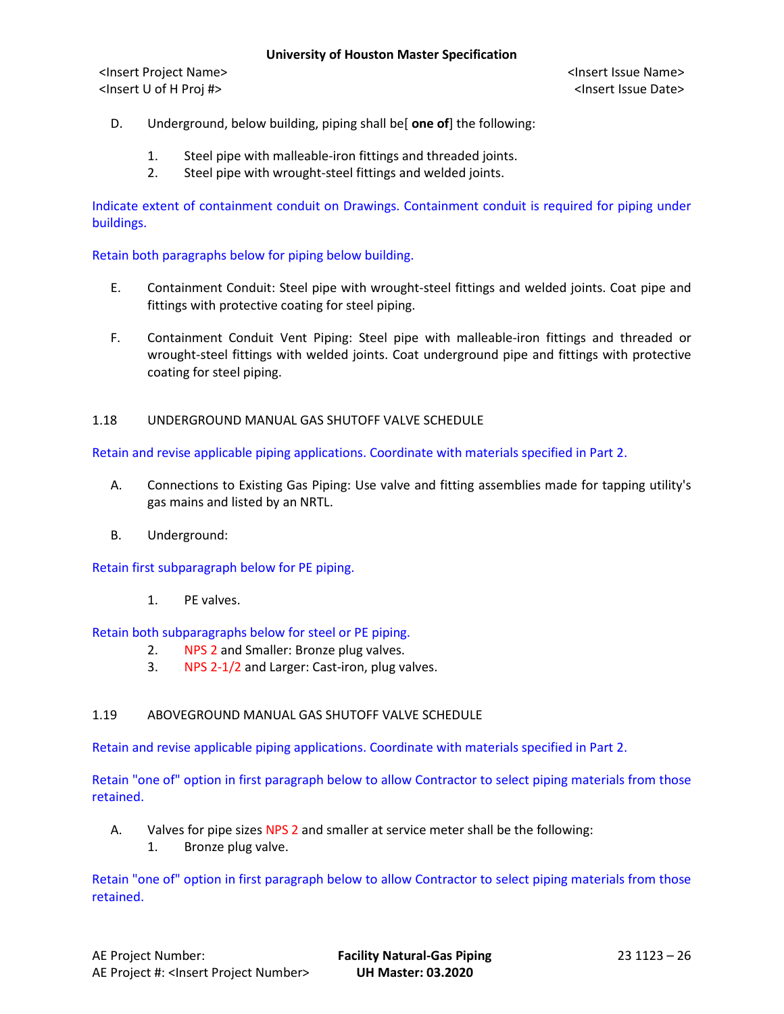# D. Underground, below building, piping shall be[ **one of**] the following:

- 1. Steel pipe with malleable-iron fittings and threaded joints.
- 2. Steel pipe with wrought-steel fittings and welded joints.

Indicate extent of containment conduit on Drawings. Containment conduit is required for piping under buildings.

### Retain both paragraphs below for piping below building.

- E. Containment Conduit: Steel pipe with wrought-steel fittings and welded joints. Coat pipe and fittings with protective coating for steel piping.
- F. Containment Conduit Vent Piping: Steel pipe with malleable-iron fittings and threaded or wrought-steel fittings with welded joints. Coat underground pipe and fittings with protective coating for steel piping.

### 1.18 UNDERGROUND MANUAL GAS SHUTOFF VALVE SCHEDULE

Retain and revise applicable piping applications. Coordinate with materials specified in Part 2.

- A. Connections to Existing Gas Piping: Use valve and fitting assemblies made for tapping utility's gas mains and listed by an NRTL.
- B. Underground:

Retain first subparagraph below for PE piping.

1. PE valves.

Retain both subparagraphs below for steel or PE piping.

- 2. NPS 2 and Smaller: Bronze plug valves.
- 3. NPS 2-1/2 and Larger: Cast-iron, plug valves.

### 1.19 ABOVEGROUND MANUAL GAS SHUTOFF VALVE SCHEDULE

Retain and revise applicable piping applications. Coordinate with materials specified in Part 2.

Retain "one of" option in first paragraph below to allow Contractor to select piping materials from those retained.

- A. Valves for pipe sizes NPS 2 and smaller at service meter shall be the following:
	- 1. Bronze plug valve.

Retain "one of" option in first paragraph below to allow Contractor to select piping materials from those retained.